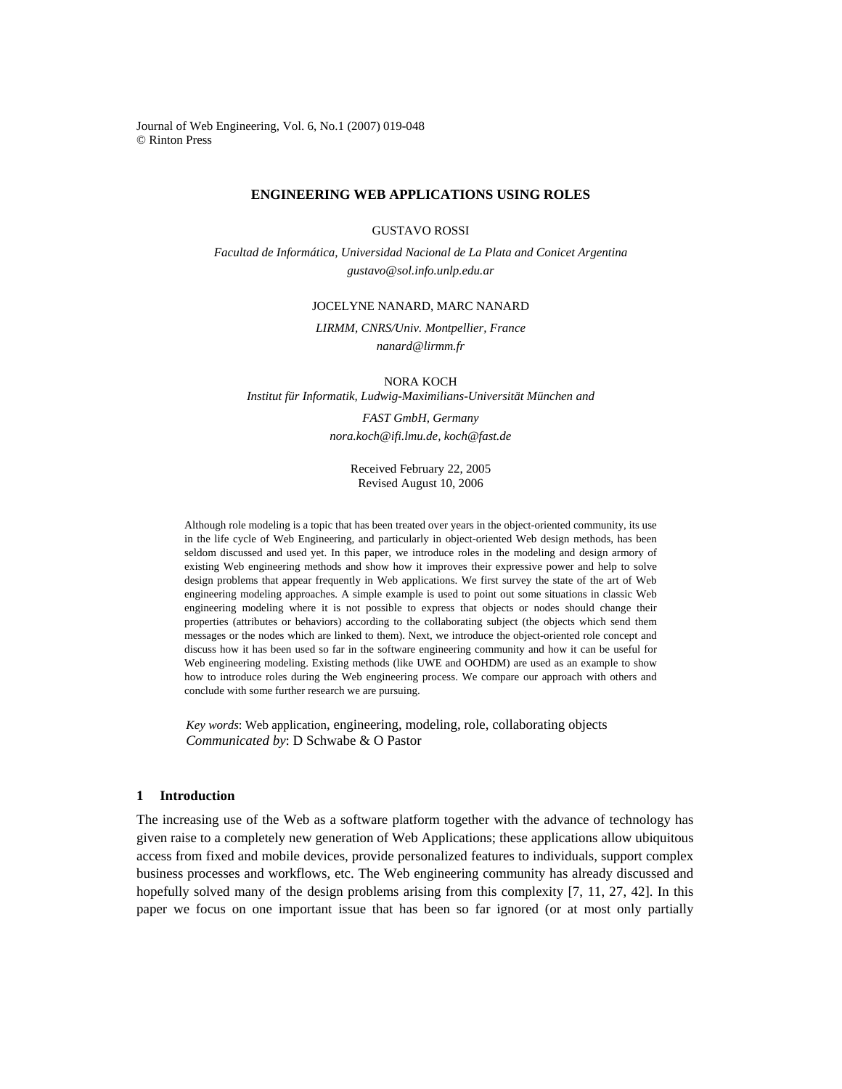Journal of Web Engineering, Vol. 6, No.1 (2007) 019-048 © Rinton Press

## **ENGINEERING WEB APPLICATIONS USING ROLES**

GUSTAVO ROSSI

*Facultad de Informática, Universidad Nacional de La Plata and Conicet Argentina gustavo@sol.info.unlp.edu.ar* 

## JOCELYNE NANARD, MARC NANARD

*LIRMM, CNRS/Univ. Montpellier, France nanard@lirmm.fr* 

NORA KOCH

*Institut für Informatik, Ludwig-Maximilians-Universität München and* 

*FAST GmbH, Germany nora.koch@ifi.lmu.de, koch@fast.de* 

> Received February 22, 2005 Revised August 10, 2006

Although role modeling is a topic that has been treated over years in the object-oriented community, its use in the life cycle of Web Engineering, and particularly in object-oriented Web design methods, has been seldom discussed and used yet. In this paper, we introduce roles in the modeling and design armory of existing Web engineering methods and show how it improves their expressive power and help to solve design problems that appear frequently in Web applications. We first survey the state of the art of Web engineering modeling approaches. A simple example is used to point out some situations in classic Web engineering modeling where it is not possible to express that objects or nodes should change their properties (attributes or behaviors) according to the collaborating subject (the objects which send them messages or the nodes which are linked to them). Next, we introduce the object-oriented role concept and discuss how it has been used so far in the software engineering community and how it can be useful for Web engineering modeling. Existing methods (like UWE and OOHDM) are used as an example to show how to introduce roles during the Web engineering process. We compare our approach with others and conclude with some further research we are pursuing.

*Key words*: Web application, engineering, modeling, role, collaborating objects *Communicated by*: D Schwabe & O Pastor

# **1 Introduction**

The increasing use of the Web as a software platform together with the advance of technology has given raise to a completely new generation of Web Applications; these applications allow ubiquitous access from fixed and mobile devices, provide personalized features to individuals, support complex business processes and workflows, etc. The Web engineering community has already discussed and hopefully solved many of the design problems arising from this complexity [7, 11, 27, 42]. In this paper we focus on one important issue that has been so far ignored (or at most only partially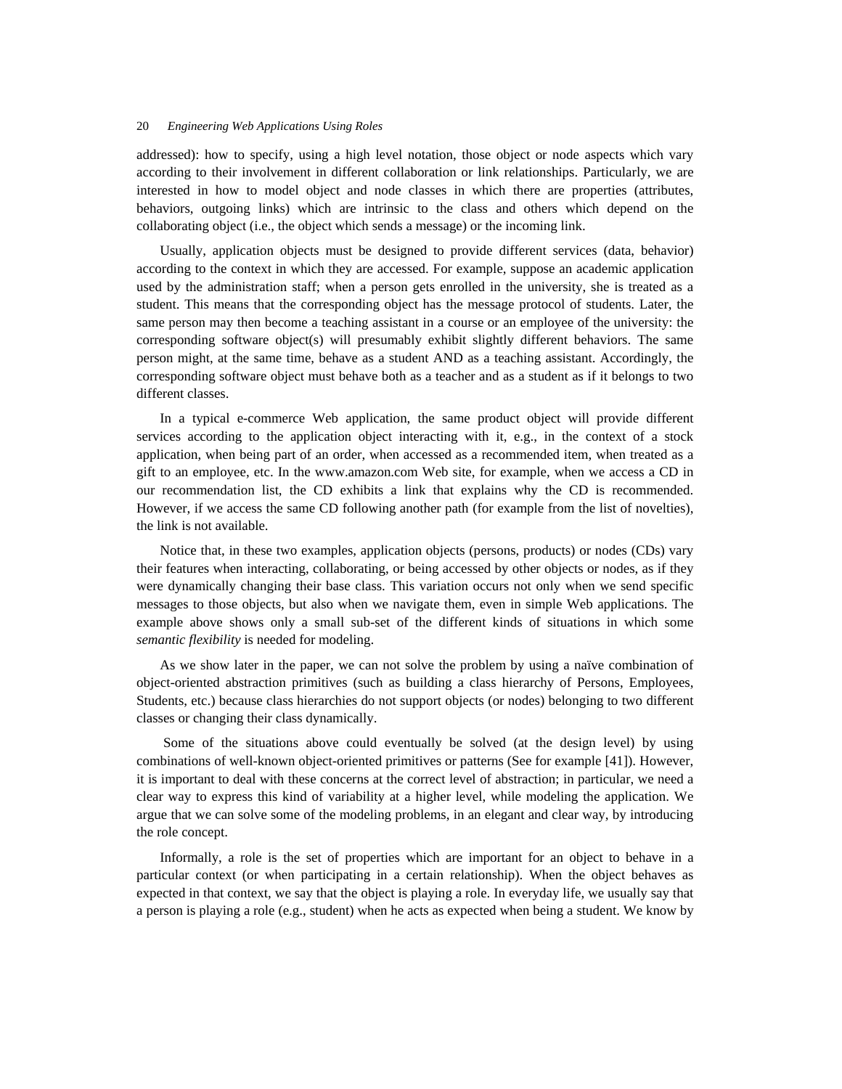addressed): how to specify, using a high level notation, those object or node aspects which vary according to their involvement in different collaboration or link relationships. Particularly, we are interested in how to model object and node classes in which there are properties (attributes, behaviors, outgoing links) which are intrinsic to the class and others which depend on the collaborating object (i.e., the object which sends a message) or the incoming link.

Usually, application objects must be designed to provide different services (data, behavior) according to the context in which they are accessed. For example, suppose an academic application used by the administration staff; when a person gets enrolled in the university, she is treated as a student. This means that the corresponding object has the message protocol of students. Later, the same person may then become a teaching assistant in a course or an employee of the university: the corresponding software object(s) will presumably exhibit slightly different behaviors. The same person might, at the same time, behave as a student AND as a teaching assistant. Accordingly, the corresponding software object must behave both as a teacher and as a student as if it belongs to two different classes.

In a typical e-commerce Web application, the same product object will provide different services according to the application object interacting with it, e.g., in the context of a stock application, when being part of an order, when accessed as a recommended item, when treated as a gift to an employee, etc. In the www.amazon.com Web site, for example, when we access a CD in our recommendation list, the CD exhibits a link that explains why the CD is recommended. However, if we access the same CD following another path (for example from the list of novelties), the link is not available.

Notice that, in these two examples, application objects (persons, products) or nodes (CDs) vary their features when interacting, collaborating, or being accessed by other objects or nodes, as if they were dynamically changing their base class. This variation occurs not only when we send specific messages to those objects, but also when we navigate them, even in simple Web applications. The example above shows only a small sub-set of the different kinds of situations in which some *semantic flexibility* is needed for modeling.

As we show later in the paper, we can not solve the problem by using a naïve combination of object-oriented abstraction primitives (such as building a class hierarchy of Persons, Employees, Students, etc.) because class hierarchies do not support objects (or nodes) belonging to two different classes or changing their class dynamically.

 Some of the situations above could eventually be solved (at the design level) by using combinations of well-known object-oriented primitives or patterns (See for example [41]). However, it is important to deal with these concerns at the correct level of abstraction; in particular, we need a clear way to express this kind of variability at a higher level, while modeling the application. We argue that we can solve some of the modeling problems, in an elegant and clear way, by introducing the role concept.

Informally, a role is the set of properties which are important for an object to behave in a particular context (or when participating in a certain relationship). When the object behaves as expected in that context, we say that the object is playing a role. In everyday life, we usually say that a person is playing a role (e.g., student) when he acts as expected when being a student. We know by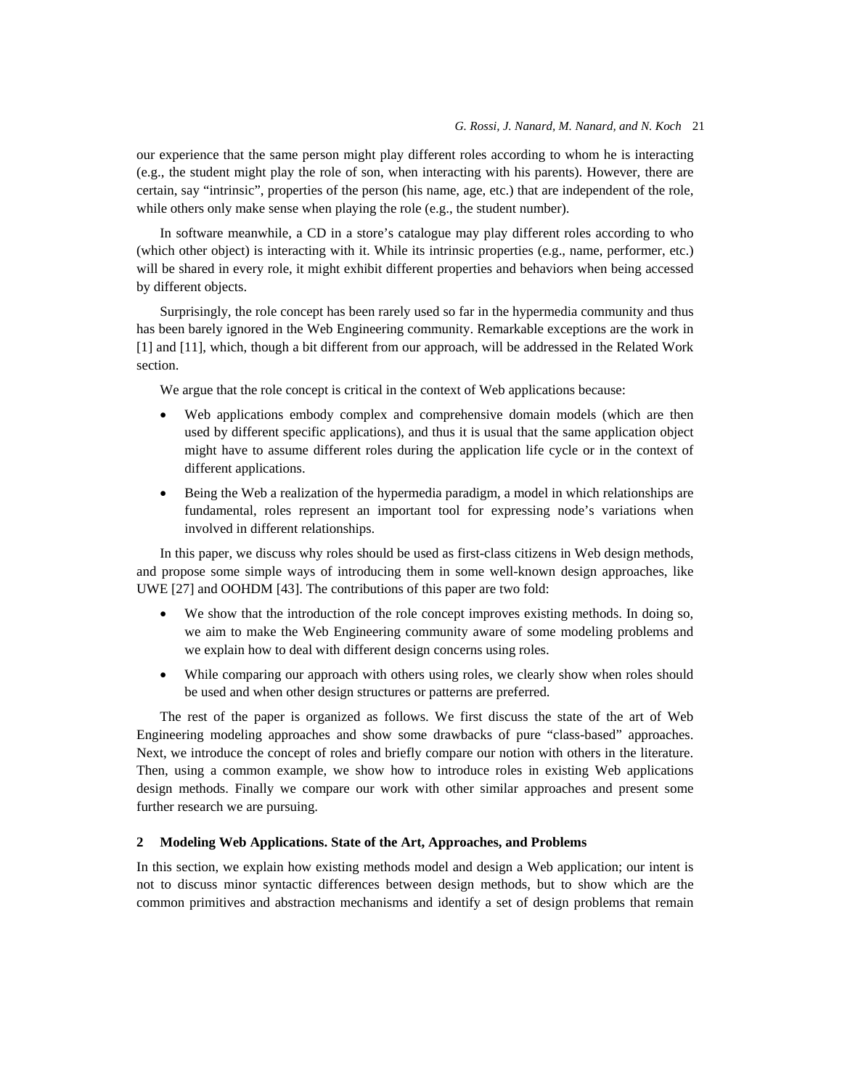our experience that the same person might play different roles according to whom he is interacting (e.g., the student might play the role of son, when interacting with his parents). However, there are certain, say "intrinsic", properties of the person (his name, age, etc.) that are independent of the role, while others only make sense when playing the role (e.g., the student number).

In software meanwhile, a CD in a store's catalogue may play different roles according to who (which other object) is interacting with it. While its intrinsic properties (e.g., name, performer, etc.) will be shared in every role, it might exhibit different properties and behaviors when being accessed by different objects.

Surprisingly, the role concept has been rarely used so far in the hypermedia community and thus has been barely ignored in the Web Engineering community. Remarkable exceptions are the work in [1] and [11], which, though a bit different from our approach, will be addressed in the Related Work section.

We argue that the role concept is critical in the context of Web applications because:

- Web applications embody complex and comprehensive domain models (which are then used by different specific applications), and thus it is usual that the same application object might have to assume different roles during the application life cycle or in the context of different applications.
- Being the Web a realization of the hypermedia paradigm, a model in which relationships are fundamental, roles represent an important tool for expressing node's variations when involved in different relationships.

In this paper, we discuss why roles should be used as first-class citizens in Web design methods, and propose some simple ways of introducing them in some well-known design approaches, like UWE [27] and OOHDM [43]. The contributions of this paper are two fold:

- We show that the introduction of the role concept improves existing methods. In doing so, we aim to make the Web Engineering community aware of some modeling problems and we explain how to deal with different design concerns using roles.
- While comparing our approach with others using roles, we clearly show when roles should be used and when other design structures or patterns are preferred.

The rest of the paper is organized as follows. We first discuss the state of the art of Web Engineering modeling approaches and show some drawbacks of pure "class-based" approaches. Next, we introduce the concept of roles and briefly compare our notion with others in the literature. Then, using a common example, we show how to introduce roles in existing Web applications design methods. Finally we compare our work with other similar approaches and present some further research we are pursuing.

# **2 Modeling Web Applications. State of the Art, Approaches, and Problems**

In this section, we explain how existing methods model and design a Web application; our intent is not to discuss minor syntactic differences between design methods, but to show which are the common primitives and abstraction mechanisms and identify a set of design problems that remain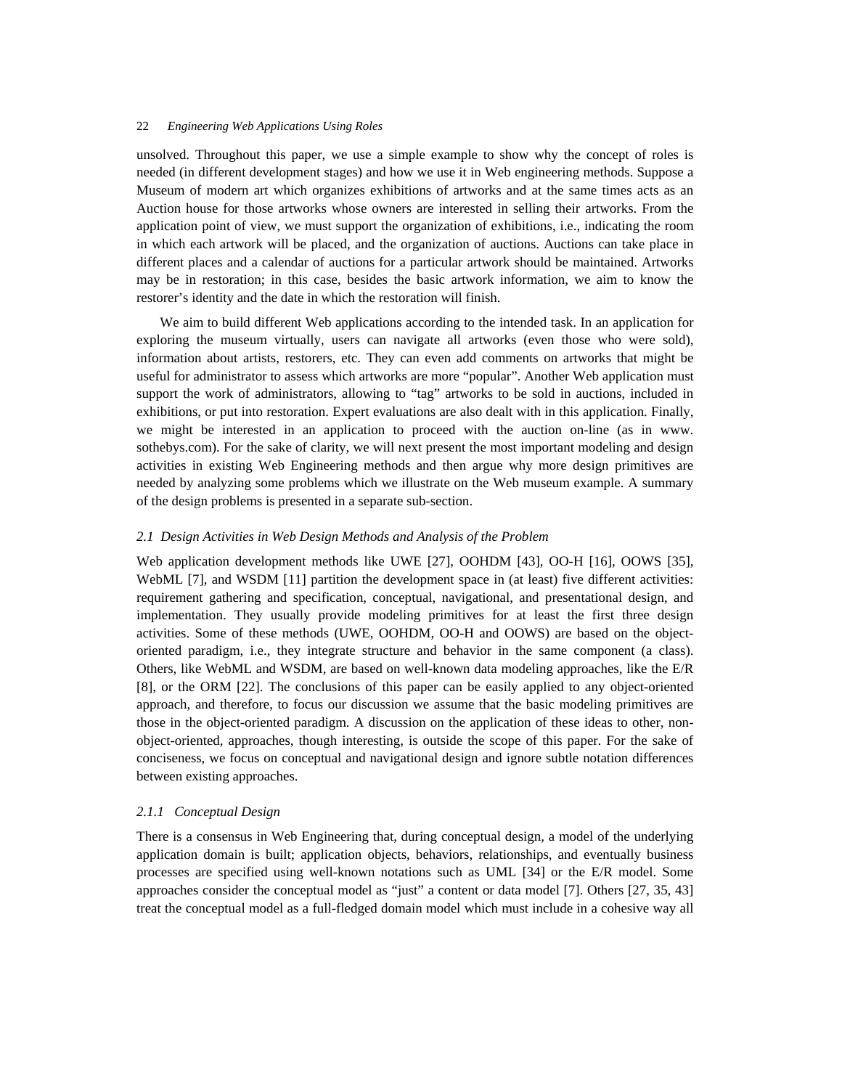unsolved. Throughout this paper, we use a simple example to show why the concept of roles is needed (in different development stages) and how we use it in Web engineering methods. Suppose a Museum of modern art which organizes exhibitions of artworks and at the same times acts as an Auction house for those artworks whose owners are interested in selling their artworks. From the application point of view, we must support the organization of exhibitions, i.e., indicating the room in which each artwork will be placed, and the organization of auctions. Auctions can take place in different places and a calendar of auctions for a particular artwork should be maintained. Artworks may be in restoration; in this case, besides the basic artwork information, we aim to know the restorer's identity and the date in which the restoration will finish.

We aim to build different Web applications according to the intended task. In an application for exploring the museum virtually, users can navigate all artworks (even those who were sold), information about artists, restorers, etc. They can even add comments on artworks that might be useful for administrator to assess which artworks are more "popular". Another Web application must support the work of administrators, allowing to "tag" artworks to be sold in auctions, included in exhibitions, or put into restoration. Expert evaluations are also dealt with in this application. Finally, we might be interested in an application to proceed with the auction on-line (as in www. sothebys.com). For the sake of clarity, we will next present the most important modeling and design activities in existing Web Engineering methods and then argue why more design primitives are needed by analyzing some problems which we illustrate on the Web museum example. A summary of the design problems is presented in a separate sub-section.

# *2.1 Design Activities in Web Design Methods and Analysis of the Problem*

Web application development methods like UWE [27], OOHDM [43], OO-H [16], OOWS [35], WebML [7], and WSDM [11] partition the development space in (at least) five different activities: requirement gathering and specification, conceptual, navigational, and presentational design, and implementation. They usually provide modeling primitives for at least the first three design activities. Some of these methods (UWE, OOHDM, OO-H and OOWS) are based on the objectoriented paradigm, i.e., they integrate structure and behavior in the same component (a class). Others, like WebML and WSDM, are based on well-known data modeling approaches, like the E/R [8], or the ORM [22]. The conclusions of this paper can be easily applied to any object-oriented approach, and therefore, to focus our discussion we assume that the basic modeling primitives are those in the object-oriented paradigm. A discussion on the application of these ideas to other, nonobject-oriented, approaches, though interesting, is outside the scope of this paper. For the sake of conciseness, we focus on conceptual and navigational design and ignore subtle notation differences between existing approaches.

#### *2.1.1 Conceptual Design*

There is a consensus in Web Engineering that, during conceptual design, a model of the underlying application domain is built; application objects, behaviors, relationships, and eventually business processes are specified using well-known notations such as UML [34] or the E/R model. Some approaches consider the conceptual model as "just" a content or data model [7]. Others [27, 35, 43] treat the conceptual model as a full-fledged domain model which must include in a cohesive way all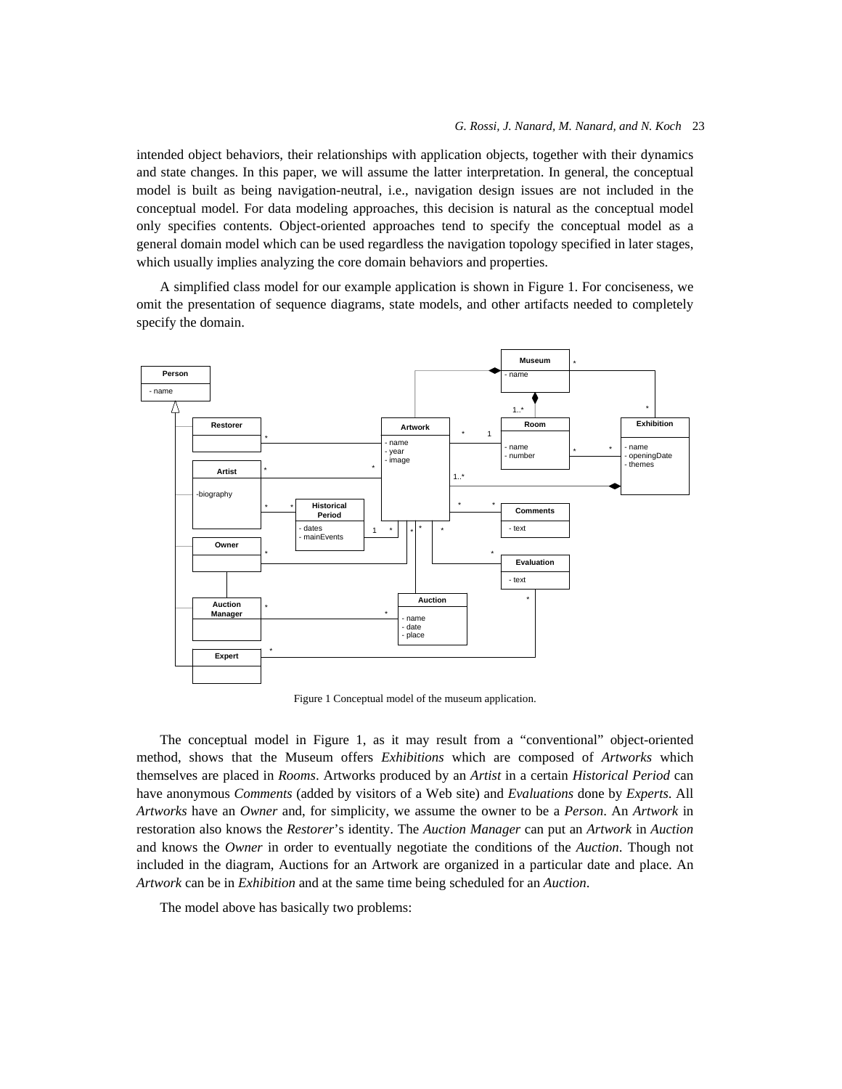intended object behaviors, their relationships with application objects, together with their dynamics and state changes. In this paper, we will assume the latter interpretation. In general, the conceptual model is built as being navigation-neutral, i.e., navigation design issues are not included in the conceptual model. For data modeling approaches, this decision is natural as the conceptual model only specifies contents. Object-oriented approaches tend to specify the conceptual model as a general domain model which can be used regardless the navigation topology specified in later stages, which usually implies analyzing the core domain behaviors and properties.

A simplified class model for our example application is shown in Figure 1. For conciseness, we omit the presentation of sequence diagrams, state models, and other artifacts needed to completely specify the domain.



Figure 1 Conceptual model of the museum application.

The conceptual model in Figure 1, as it may result from a "conventional" object-oriented method, shows that the Museum offers *Exhibitions* which are composed of *Artworks* which themselves are placed in *Rooms*. Artworks produced by an *Artist* in a certain *Historical Period* can have anonymous *Comments* (added by visitors of a Web site) and *Evaluations* done by *Experts*. All *Artworks* have an *Owner* and, for simplicity, we assume the owner to be a *Person*. An *Artwork* in restoration also knows the *Restorer*'s identity. The *Auction Manager* can put an *Artwork* in *Auction* and knows the *Owner* in order to eventually negotiate the conditions of the *Auction*. Though not included in the diagram, Auctions for an Artwork are organized in a particular date and place. An *Artwork* can be in *Exhibition* and at the same time being scheduled for an *Auction*.

The model above has basically two problems: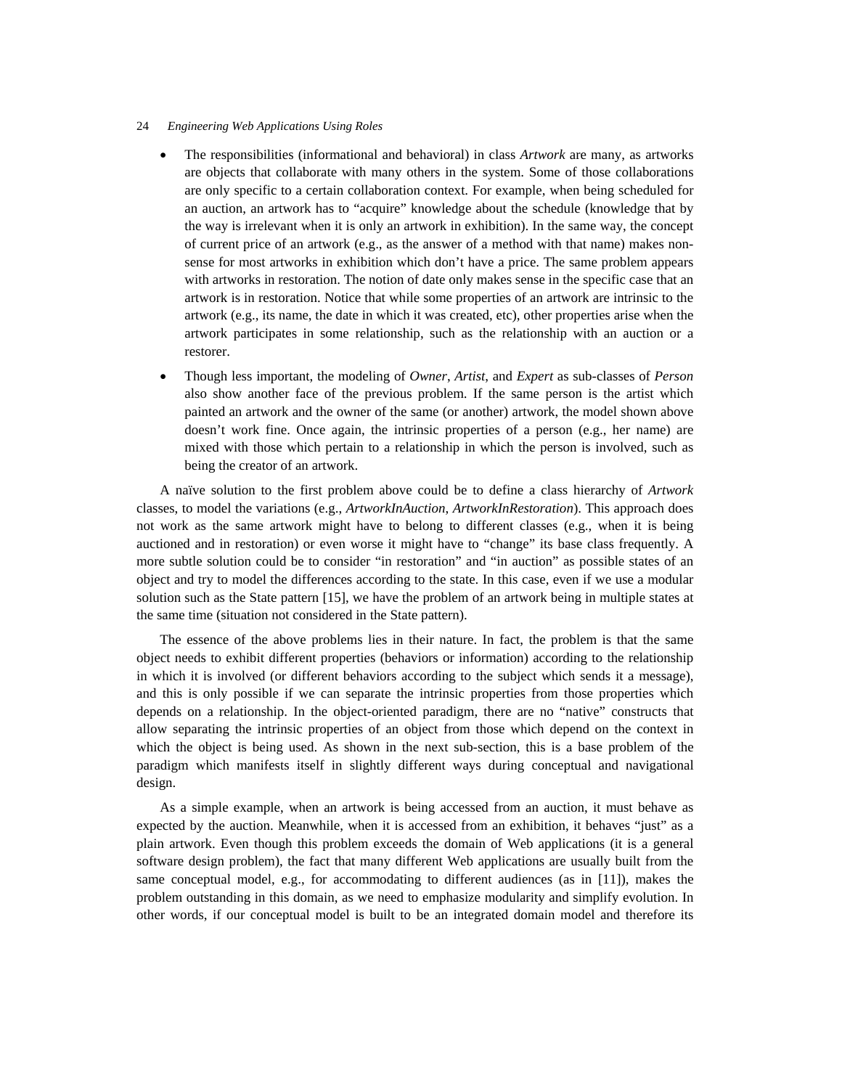- The responsibilities (informational and behavioral) in class *Artwork* are many, as artworks are objects that collaborate with many others in the system. Some of those collaborations are only specific to a certain collaboration context. For example, when being scheduled for an auction, an artwork has to "acquire" knowledge about the schedule (knowledge that by the way is irrelevant when it is only an artwork in exhibition). In the same way, the concept of current price of an artwork (e.g., as the answer of a method with that name) makes nonsense for most artworks in exhibition which don't have a price. The same problem appears with artworks in restoration. The notion of date only makes sense in the specific case that an artwork is in restoration. Notice that while some properties of an artwork are intrinsic to the artwork (e.g., its name, the date in which it was created, etc), other properties arise when the artwork participates in some relationship, such as the relationship with an auction or a restorer.
- Though less important, the modeling of *Owner*, *Artist*, and *Expert* as sub-classes of *Person* also show another face of the previous problem. If the same person is the artist which painted an artwork and the owner of the same (or another) artwork, the model shown above doesn't work fine. Once again, the intrinsic properties of a person (e.g., her name) are mixed with those which pertain to a relationship in which the person is involved, such as being the creator of an artwork.

A naïve solution to the first problem above could be to define a class hierarchy of *Artwork* classes, to model the variations (e.g., *ArtworkInAuction*, *ArtworkInRestoration*). This approach does not work as the same artwork might have to belong to different classes (e.g., when it is being auctioned and in restoration) or even worse it might have to "change" its base class frequently. A more subtle solution could be to consider "in restoration" and "in auction" as possible states of an object and try to model the differences according to the state. In this case, even if we use a modular solution such as the State pattern [15], we have the problem of an artwork being in multiple states at the same time (situation not considered in the State pattern).

The essence of the above problems lies in their nature. In fact, the problem is that the same object needs to exhibit different properties (behaviors or information) according to the relationship in which it is involved (or different behaviors according to the subject which sends it a message), and this is only possible if we can separate the intrinsic properties from those properties which depends on a relationship. In the object-oriented paradigm, there are no "native" constructs that allow separating the intrinsic properties of an object from those which depend on the context in which the object is being used. As shown in the next sub-section, this is a base problem of the paradigm which manifests itself in slightly different ways during conceptual and navigational design.

As a simple example, when an artwork is being accessed from an auction, it must behave as expected by the auction. Meanwhile, when it is accessed from an exhibition, it behaves "just" as a plain artwork. Even though this problem exceeds the domain of Web applications (it is a general software design problem), the fact that many different Web applications are usually built from the same conceptual model, e.g., for accommodating to different audiences (as in [11]), makes the problem outstanding in this domain, as we need to emphasize modularity and simplify evolution. In other words, if our conceptual model is built to be an integrated domain model and therefore its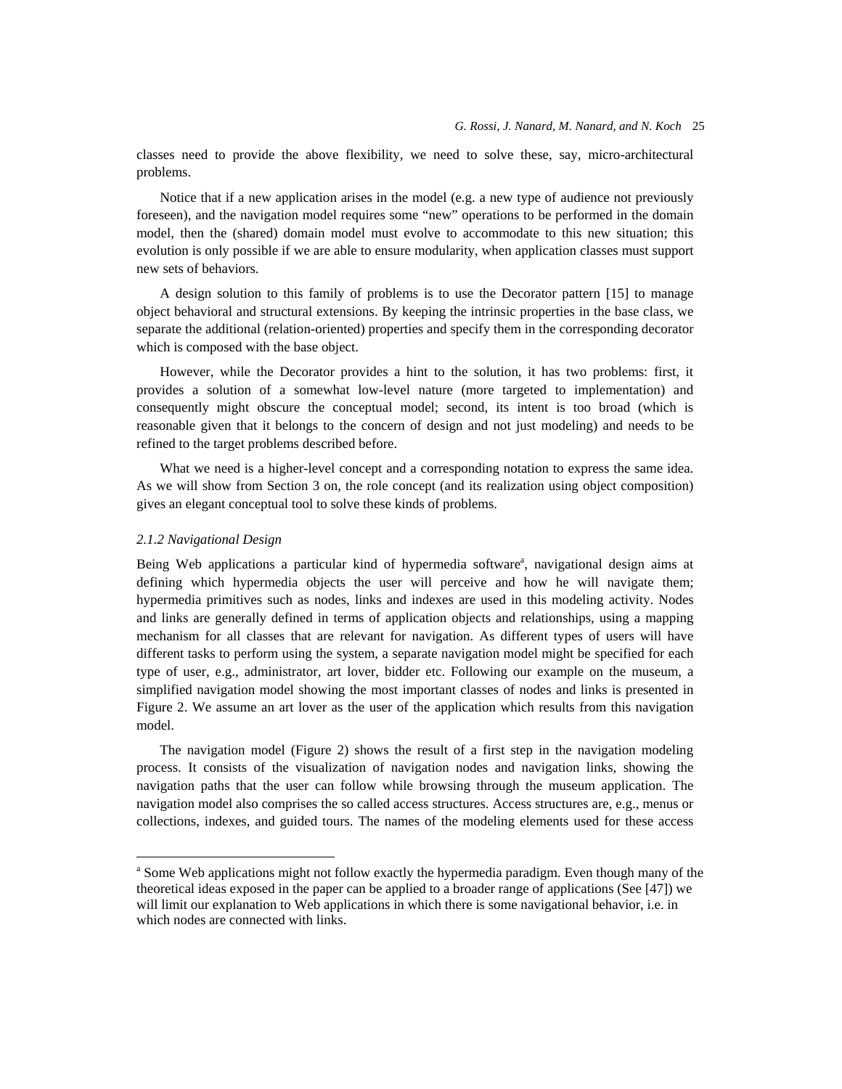classes need to provide the above flexibility, we need to solve these, say, micro-architectural problems.

Notice that if a new application arises in the model (e.g. a new type of audience not previously foreseen), and the navigation model requires some "new" operations to be performed in the domain model, then the (shared) domain model must evolve to accommodate to this new situation; this evolution is only possible if we are able to ensure modularity, when application classes must support new sets of behaviors.

A design solution to this family of problems is to use the Decorator pattern [15] to manage object behavioral and structural extensions. By keeping the intrinsic properties in the base class, we separate the additional (relation-oriented) properties and specify them in the corresponding decorator which is composed with the base object.

However, while the Decorator provides a hint to the solution, it has two problems: first, it provides a solution of a somewhat low-level nature (more targeted to implementation) and consequently might obscure the conceptual model; second, its intent is too broad (which is reasonable given that it belongs to the concern of design and not just modeling) and needs to be refined to the target problems described before.

What we need is a higher-level concept and a corresponding notation to express the same idea. As we will show from Section 3 on, the role concept (and its realization using object composition) gives an elegant conceptual tool to solve these kinds of problems.

#### *2.1.2 Navigational Design*

<u>.</u>

Being Web applications a particular kind of hypermedia software<sup>a</sup>, navigational design aims at defining which hypermedia objects the user will perceive and how he will navigate them; hypermedia primitives such as nodes, links and indexes are used in this modeling activity. Nodes and links are generally defined in terms of application objects and relationships, using a mapping mechanism for all classes that are relevant for navigation. As different types of users will have different tasks to perform using the system, a separate navigation model might be specified for each type of user, e.g., administrator, art lover, bidder etc. Following our example on the museum, a simplified navigation model showing the most important classes of nodes and links is presented in Figure 2. We assume an art lover as the user of the application which results from this navigation model.

The navigation model (Figure 2) shows the result of a first step in the navigation modeling process. It consists of the visualization of navigation nodes and navigation links, showing the navigation paths that the user can follow while browsing through the museum application. The navigation model also comprises the so called access structures. Access structures are, e.g., menus or collections, indexes, and guided tours. The names of the modeling elements used for these access

<sup>&</sup>lt;sup>a</sup> Some Web applications might not follow exactly the hypermedia paradigm. Even though many of the theoretical ideas exposed in the paper can be applied to a broader range of applications (See [47]) we will limit our explanation to Web applications in which there is some navigational behavior, i.e. in which nodes are connected with links.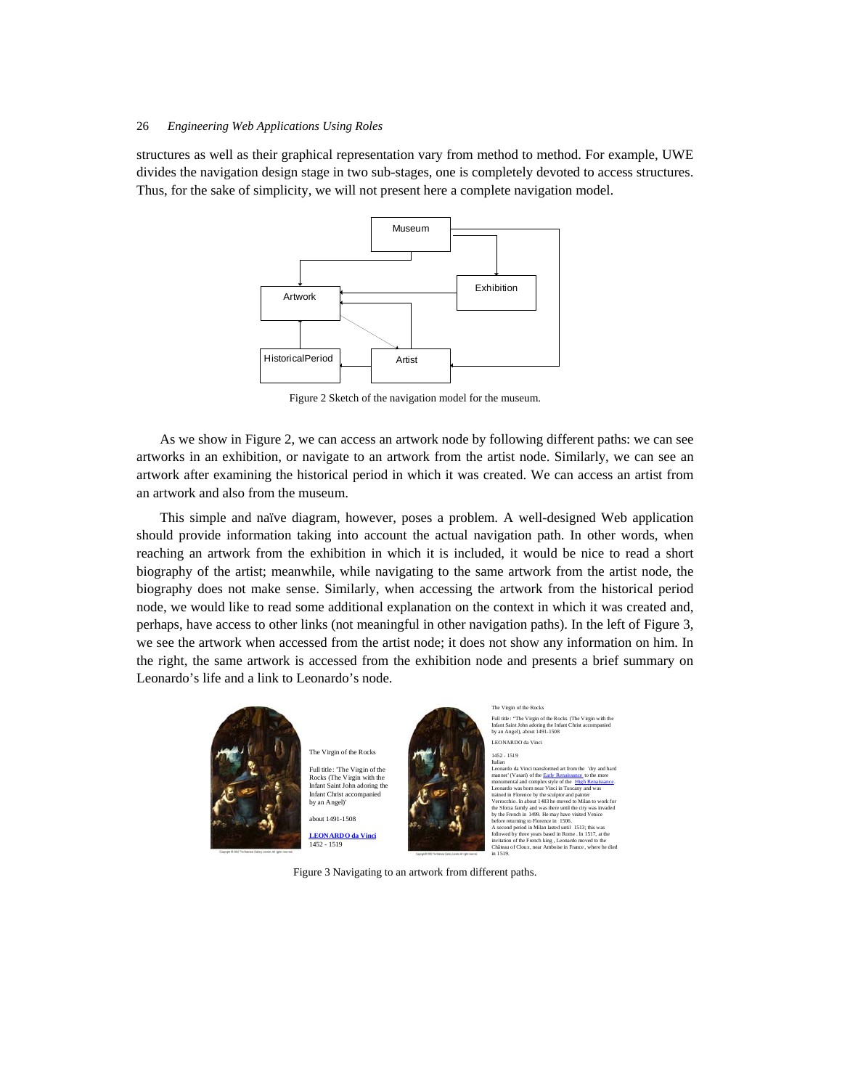structures as well as their graphical representation vary from method to method. For example, UWE divides the navigation design stage in two sub-stages, one is completely devoted to access structures. Thus, for the sake of simplicity, we will not present here a complete navigation model.



Figure 2 Sketch of the navigation model for the museum.

As we show in Figure 2, we can access an artwork node by following different paths: we can see artworks in an exhibition, or navigate to an artwork from the artist node. Similarly, we can see an artwork after examining the historical period in which it was created. We can access an artist from an artwork and also from the museum.

This simple and naïve diagram, however, poses a problem. A well-designed Web application should provide information taking into account the actual navigation path. In other words, when reaching an artwork from the exhibition in which it is included, it would be nice to read a short biography of the artist; meanwhile, while navigating to the same artwork from the artist node, the biography does not make sense. Similarly, when accessing the artwork from the historical period node, we would like to read some additional explanation on the context in which it was created and, perhaps, have access to other links (not meaningful in other navigation paths). In the left of Figure 3, we see the artwork when accessed from the artist node; it does not show any information on him. In the right, the same artwork is accessed from the exhibition node and presents a brief summary on Leonardo's life and a link to Leonardo's node.



The Virgin of the Rocks Full title: 'The Virgin of the Rocks (The Virgin with the Infant Saint John adoring the Infant Christ accompanied by an Angel)' about 1491-1508

**LEONARDO da Vinci** 1452 - 1519



Full title : "The Virgin of the Rocks (The Virgin with the Infant Saint John adoring the Infant Christ accompanied by an Angel), about 1491-1508 LEONARDO da Vinci 1452 - 1519 itanan<br>Leonardo da Vinci Leonardo da Vinci transformed art from the  $\alpha$  'dry and hard<br>manner' (V assri) of the <u>Eurly Renaissance</u>, to the more<br>monumental and complex style of the  $\frac{111p}{18}$  Renaissance.<br>Leonardo was born near Vinci in Tuscan the Sforza family and was there until the city was invoded<br>by the French in 1499. He may have visited Venice<br>before returning to Florence in 1506.<br>A second period in Milan lased until 1513; this was<br>followed by three years

The Virgin of the Rocks

Figure 3 Navigating to an artwork from different paths.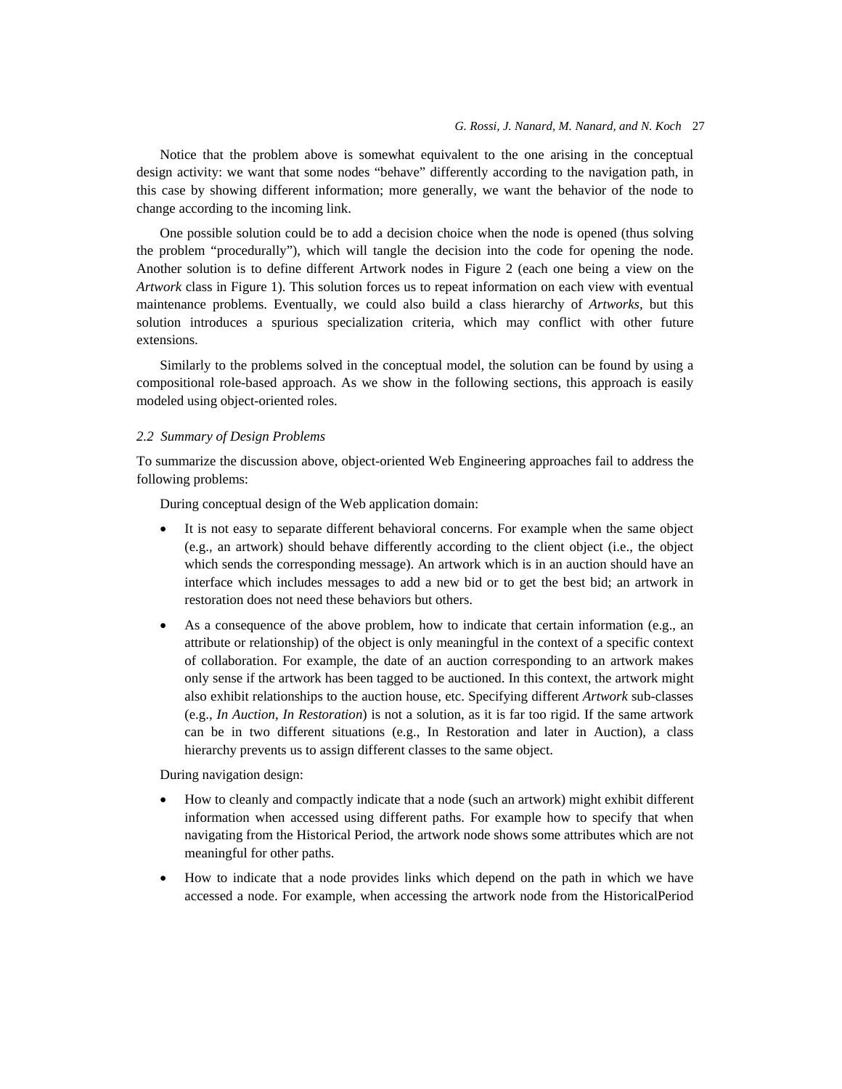Notice that the problem above is somewhat equivalent to the one arising in the conceptual design activity: we want that some nodes "behave" differently according to the navigation path, in this case by showing different information; more generally, we want the behavior of the node to change according to the incoming link.

One possible solution could be to add a decision choice when the node is opened (thus solving the problem "procedurally"), which will tangle the decision into the code for opening the node. Another solution is to define different Artwork nodes in Figure 2 (each one being a view on the *Artwork* class in Figure 1). This solution forces us to repeat information on each view with eventual maintenance problems. Eventually, we could also build a class hierarchy of *Artworks*, but this solution introduces a spurious specialization criteria, which may conflict with other future extensions.

Similarly to the problems solved in the conceptual model, the solution can be found by using a compositional role-based approach. As we show in the following sections, this approach is easily modeled using object-oriented roles.

# *2.2 Summary of Design Problems*

To summarize the discussion above, object-oriented Web Engineering approaches fail to address the following problems:

During conceptual design of the Web application domain:

- It is not easy to separate different behavioral concerns. For example when the same object (e.g., an artwork) should behave differently according to the client object (i.e., the object which sends the corresponding message). An artwork which is in an auction should have an interface which includes messages to add a new bid or to get the best bid; an artwork in restoration does not need these behaviors but others.
- As a consequence of the above problem, how to indicate that certain information (e.g., an attribute or relationship) of the object is only meaningful in the context of a specific context of collaboration. For example, the date of an auction corresponding to an artwork makes only sense if the artwork has been tagged to be auctioned. In this context, the artwork might also exhibit relationships to the auction house, etc. Specifying different *Artwork* sub-classes (e.g., *In Auction*, *In Restoration*) is not a solution, as it is far too rigid. If the same artwork can be in two different situations (e.g., In Restoration and later in Auction), a class hierarchy prevents us to assign different classes to the same object.

During navigation design:

- How to cleanly and compactly indicate that a node (such an artwork) might exhibit different information when accessed using different paths. For example how to specify that when navigating from the Historical Period, the artwork node shows some attributes which are not meaningful for other paths.
- How to indicate that a node provides links which depend on the path in which we have accessed a node. For example, when accessing the artwork node from the HistoricalPeriod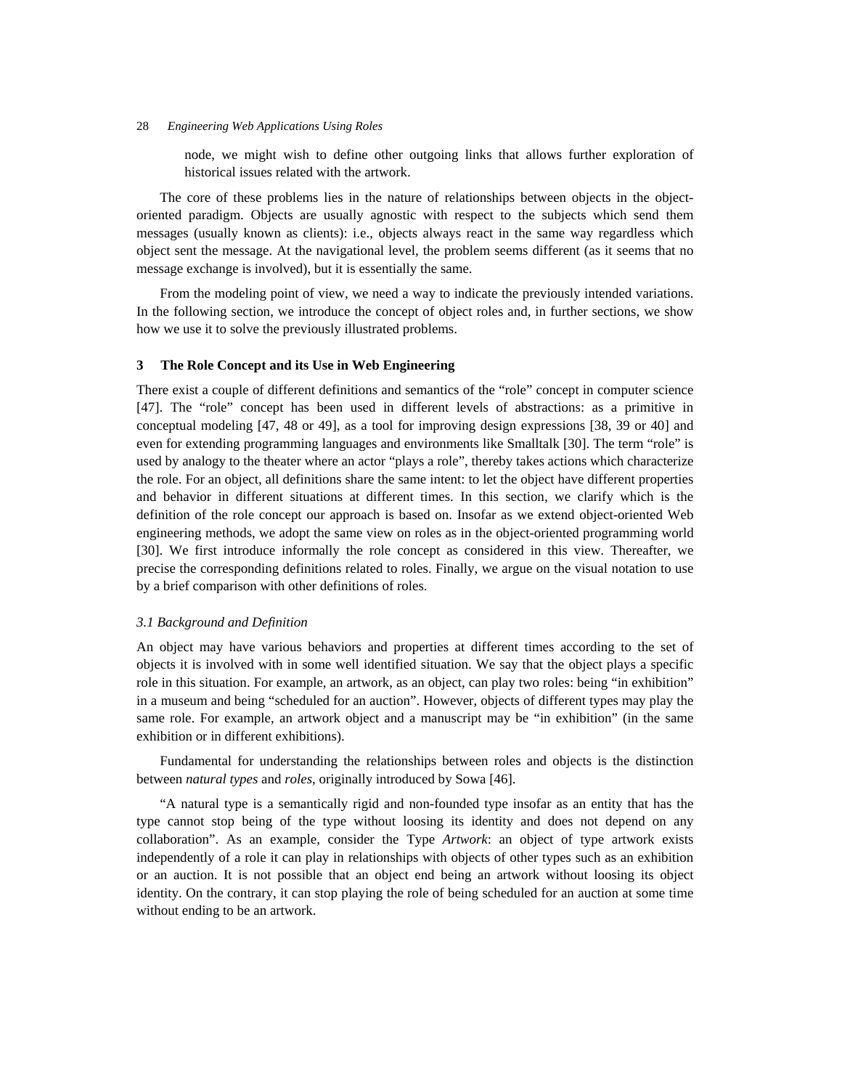node, we might wish to define other outgoing links that allows further exploration of historical issues related with the artwork.

The core of these problems lies in the nature of relationships between objects in the objectoriented paradigm. Objects are usually agnostic with respect to the subjects which send them messages (usually known as clients): i.e., objects always react in the same way regardless which object sent the message. At the navigational level, the problem seems different (as it seems that no message exchange is involved), but it is essentially the same.

From the modeling point of view, we need a way to indicate the previously intended variations. In the following section, we introduce the concept of object roles and, in further sections, we show how we use it to solve the previously illustrated problems.

## **3 The Role Concept and its Use in Web Engineering**

There exist a couple of different definitions and semantics of the "role" concept in computer science [47]. The "role" concept has been used in different levels of abstractions: as a primitive in conceptual modeling [47, 48 or 49], as a tool for improving design expressions [38, 39 or 40] and even for extending programming languages and environments like Smalltalk [30]. The term "role" is used by analogy to the theater where an actor "plays a role", thereby takes actions which characterize the role. For an object, all definitions share the same intent: to let the object have different properties and behavior in different situations at different times. In this section, we clarify which is the definition of the role concept our approach is based on. Insofar as we extend object-oriented Web engineering methods, we adopt the same view on roles as in the object-oriented programming world [30]. We first introduce informally the role concept as considered in this view. Thereafter, we precise the corresponding definitions related to roles. Finally, we argue on the visual notation to use by a brief comparison with other definitions of roles.

## *3.1 Background and Definition*

An object may have various behaviors and properties at different times according to the set of objects it is involved with in some well identified situation. We say that the object plays a specific role in this situation. For example, an artwork, as an object, can play two roles: being "in exhibition" in a museum and being "scheduled for an auction". However, objects of different types may play the same role. For example, an artwork object and a manuscript may be "in exhibition" (in the same exhibition or in different exhibitions).

Fundamental for understanding the relationships between roles and objects is the distinction between *natural types* and *roles*, originally introduced by Sowa [46].

"A natural type is a semantically rigid and non-founded type insofar as an entity that has the type cannot stop being of the type without loosing its identity and does not depend on any collaboration". As an example, consider the Type *Artwork*: an object of type artwork exists independently of a role it can play in relationships with objects of other types such as an exhibition or an auction. It is not possible that an object end being an artwork without loosing its object identity. On the contrary, it can stop playing the role of being scheduled for an auction at some time without ending to be an artwork.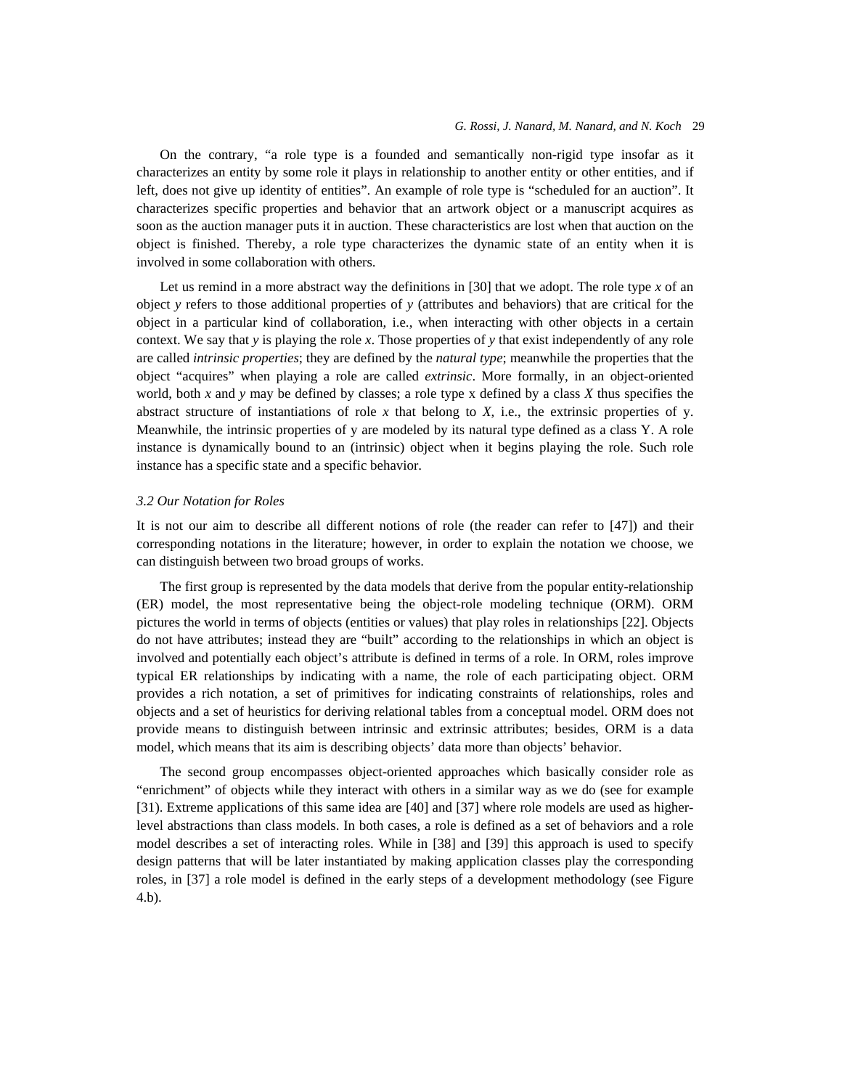### *G. Rossi, J. Nanard, M. Nanard, and N. Koch* 29

On the contrary, "a role type is a founded and semantically non-rigid type insofar as it characterizes an entity by some role it plays in relationship to another entity or other entities, and if left, does not give up identity of entities". An example of role type is "scheduled for an auction". It characterizes specific properties and behavior that an artwork object or a manuscript acquires as soon as the auction manager puts it in auction. These characteristics are lost when that auction on the object is finished. Thereby, a role type characterizes the dynamic state of an entity when it is involved in some collaboration with others.

Let us remind in a more abstract way the definitions in [30] that we adopt. The role type *x* of an object *y* refers to those additional properties of *y* (attributes and behaviors) that are critical for the object in a particular kind of collaboration, i.e., when interacting with other objects in a certain context. We say that *y* is playing the role *x*. Those properties of *y* that exist independently of any role are called *intrinsic properties*; they are defined by the *natural type*; meanwhile the properties that the object "acquires" when playing a role are called *extrinsic*. More formally, in an object-oriented world, both *x* and *y* may be defined by classes; a role type x defined by a class *X* thus specifies the abstract structure of instantiations of role *x* that belong to *X*, i.e., the extrinsic properties of y. Meanwhile, the intrinsic properties of y are modeled by its natural type defined as a class Y. A role instance is dynamically bound to an (intrinsic) object when it begins playing the role. Such role instance has a specific state and a specific behavior.

## *3.2 Our Notation for Roles*

It is not our aim to describe all different notions of role (the reader can refer to [47]) and their corresponding notations in the literature; however, in order to explain the notation we choose, we can distinguish between two broad groups of works.

The first group is represented by the data models that derive from the popular entity-relationship (ER) model, the most representative being the object-role modeling technique (ORM). ORM pictures the world in terms of objects (entities or values) that play roles in relationships [22]. Objects do not have attributes; instead they are "built" according to the relationships in which an object is involved and potentially each object's attribute is defined in terms of a role. In ORM, roles improve typical ER relationships by indicating with a name, the role of each participating object. ORM provides a rich notation, a set of primitives for indicating constraints of relationships, roles and objects and a set of heuristics for deriving relational tables from a conceptual model. ORM does not provide means to distinguish between intrinsic and extrinsic attributes; besides, ORM is a data model, which means that its aim is describing objects' data more than objects' behavior.

The second group encompasses object-oriented approaches which basically consider role as "enrichment" of objects while they interact with others in a similar way as we do (see for example [31). Extreme applications of this same idea are [40] and [37] where role models are used as higherlevel abstractions than class models. In both cases, a role is defined as a set of behaviors and a role model describes a set of interacting roles. While in [38] and [39] this approach is used to specify design patterns that will be later instantiated by making application classes play the corresponding roles, in [37] a role model is defined in the early steps of a development methodology (see Figure 4.b).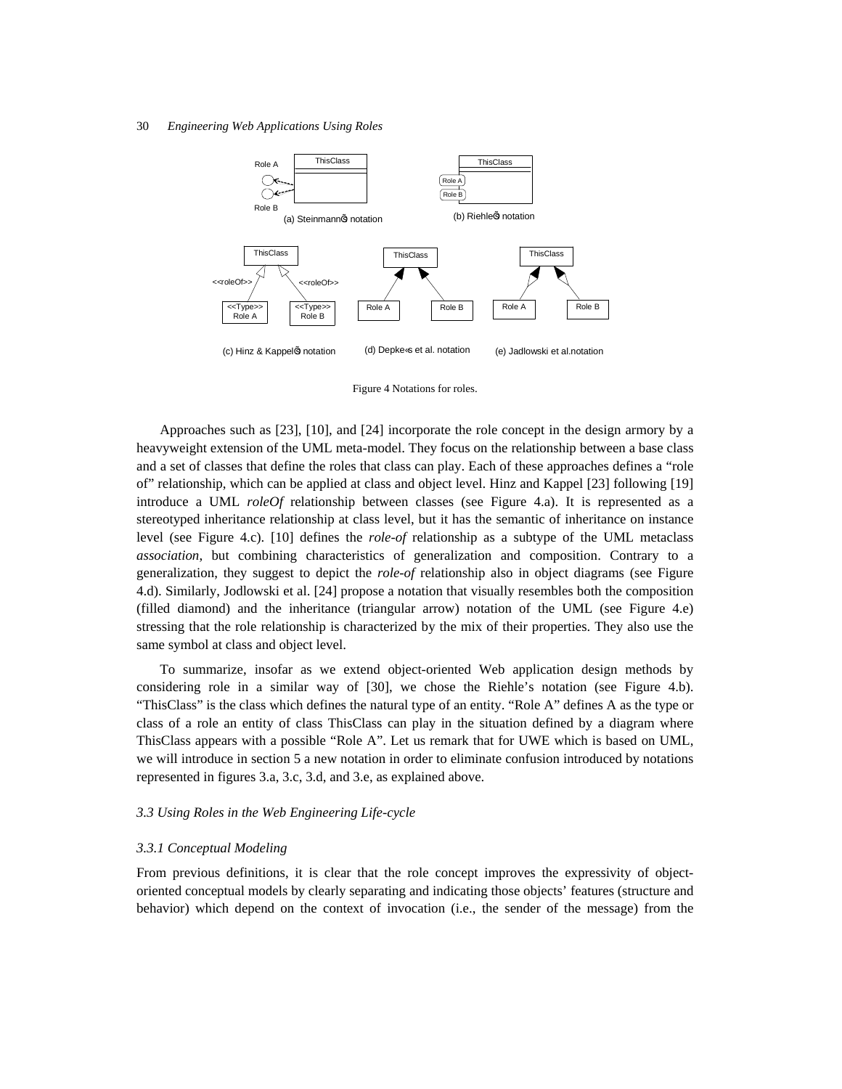

Figure 4 Notations for roles.

Approaches such as [23], [10], and [24] incorporate the role concept in the design armory by a heavyweight extension of the UML meta-model. They focus on the relationship between a base class and a set of classes that define the roles that class can play. Each of these approaches defines a "role of" relationship, which can be applied at class and object level. Hinz and Kappel [23] following [19] introduce a UML *roleOf* relationship between classes (see Figure 4.a). It is represented as a stereotyped inheritance relationship at class level, but it has the semantic of inheritance on instance level (see Figure 4.c). [10] defines the *role-of* relationship as a subtype of the UML metaclass *association*, but combining characteristics of generalization and composition. Contrary to a generalization, they suggest to depict the *role-of* relationship also in object diagrams (see Figure 4.d). Similarly, Jodlowski et al. [24] propose a notation that visually resembles both the composition (filled diamond) and the inheritance (triangular arrow) notation of the UML (see Figure 4.e) stressing that the role relationship is characterized by the mix of their properties. They also use the same symbol at class and object level.

To summarize, insofar as we extend object-oriented Web application design methods by considering role in a similar way of [30], we chose the Riehle's notation (see Figure 4.b). "ThisClass" is the class which defines the natural type of an entity. "Role A" defines A as the type or class of a role an entity of class ThisClass can play in the situation defined by a diagram where ThisClass appears with a possible "Role A". Let us remark that for UWE which is based on UML, we will introduce in section 5 a new notation in order to eliminate confusion introduced by notations represented in figures 3.a, 3.c, 3.d, and 3.e, as explained above.

## *3.3 Using Roles in the Web Engineering Life-cycle*

# *3.3.1 Conceptual Modeling*

From previous definitions, it is clear that the role concept improves the expressivity of objectoriented conceptual models by clearly separating and indicating those objects' features (structure and behavior) which depend on the context of invocation (i.e., the sender of the message) from the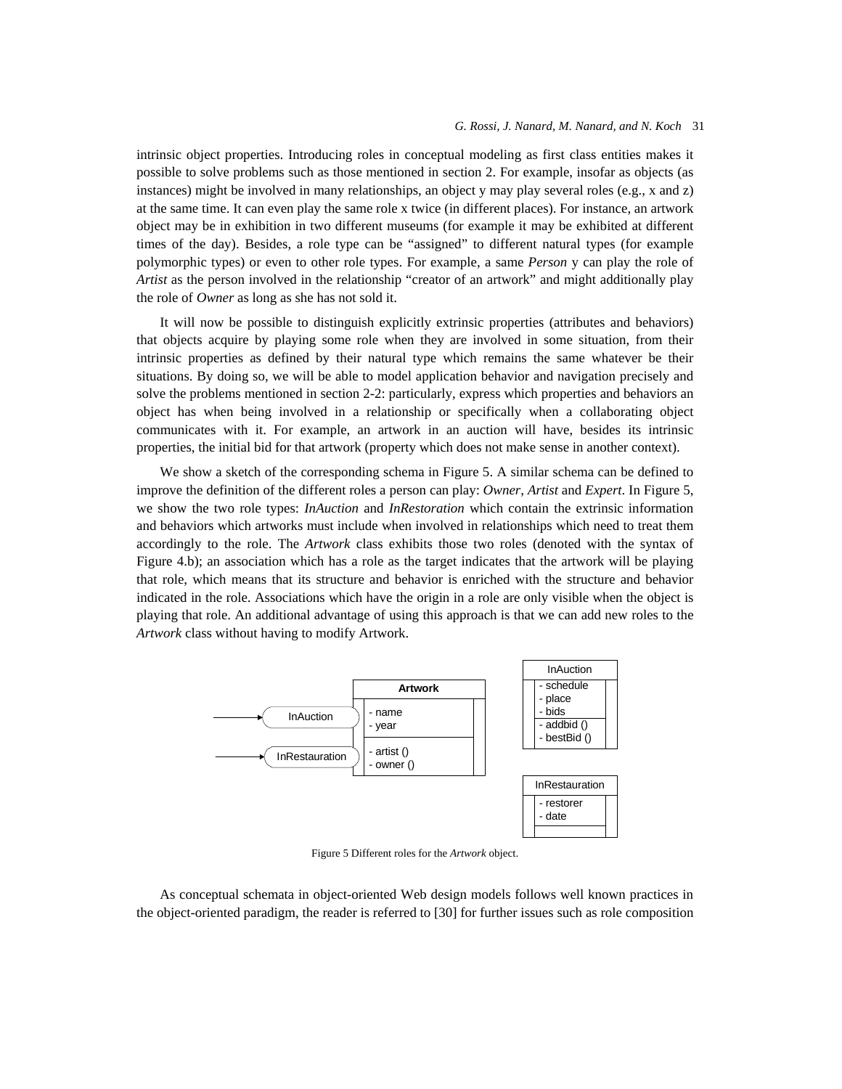### *G. Rossi, J. Nanard, M. Nanard, and N. Koch* 31

intrinsic object properties. Introducing roles in conceptual modeling as first class entities makes it possible to solve problems such as those mentioned in section 2. For example, insofar as objects (as instances) might be involved in many relationships, an object y may play several roles (e.g., x and z) at the same time. It can even play the same role x twice (in different places). For instance, an artwork object may be in exhibition in two different museums (for example it may be exhibited at different times of the day). Besides, a role type can be "assigned" to different natural types (for example polymorphic types) or even to other role types. For example, a same *Person* y can play the role of *Artist* as the person involved in the relationship "creator of an artwork" and might additionally play the role of *Owner* as long as she has not sold it.

It will now be possible to distinguish explicitly extrinsic properties (attributes and behaviors) that objects acquire by playing some role when they are involved in some situation, from their intrinsic properties as defined by their natural type which remains the same whatever be their situations. By doing so, we will be able to model application behavior and navigation precisely and solve the problems mentioned in section 2-2: particularly, express which properties and behaviors an object has when being involved in a relationship or specifically when a collaborating object communicates with it. For example, an artwork in an auction will have, besides its intrinsic properties, the initial bid for that artwork (property which does not make sense in another context).

We show a sketch of the corresponding schema in Figure 5. A similar schema can be defined to improve the definition of the different roles a person can play: *Owner*, *Artist* and *Expert*. In Figure 5, we show the two role types: *InAuction* and *InRestoration* which contain the extrinsic information and behaviors which artworks must include when involved in relationships which need to treat them accordingly to the role. The *Artwork* class exhibits those two roles (denoted with the syntax of Figure 4.b); an association which has a role as the target indicates that the artwork will be playing that role, which means that its structure and behavior is enriched with the structure and behavior indicated in the role. Associations which have the origin in a role are only visible when the object is playing that role. An additional advantage of using this approach is that we can add new roles to the *Artwork* class without having to modify Artwork.



Figure 5 Different roles for the *Artwork* object.

As conceptual schemata in object-oriented Web design models follows well known practices in the object-oriented paradigm, the reader is referred to [30] for further issues such as role composition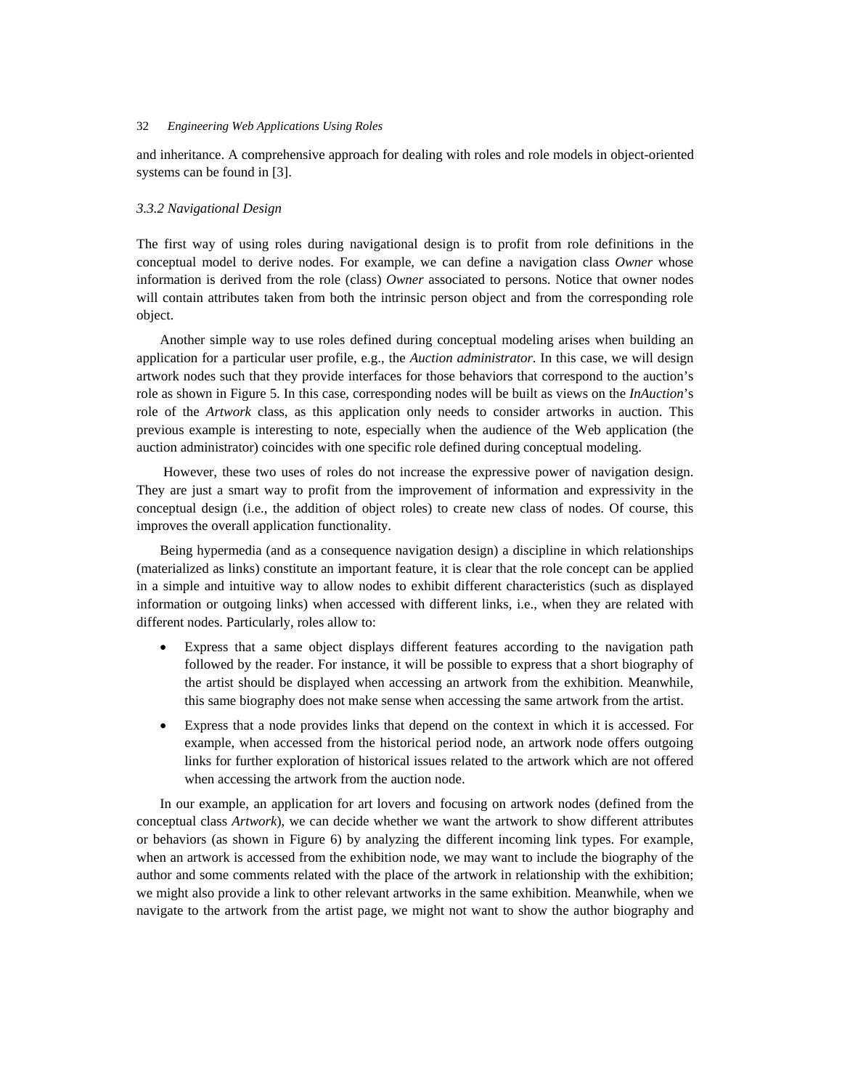and inheritance. A comprehensive approach for dealing with roles and role models in object-oriented systems can be found in [3].

# *3.3.2 Navigational Design*

The first way of using roles during navigational design is to profit from role definitions in the conceptual model to derive nodes. For example, we can define a navigation class *Owner* whose information is derived from the role (class) *Owner* associated to persons. Notice that owner nodes will contain attributes taken from both the intrinsic person object and from the corresponding role object.

Another simple way to use roles defined during conceptual modeling arises when building an application for a particular user profile, e.g., the *Auction administrator*. In this case, we will design artwork nodes such that they provide interfaces for those behaviors that correspond to the auction's role as shown in Figure 5. In this case, corresponding nodes will be built as views on the *InAuction*'s role of the *Artwork* class, as this application only needs to consider artworks in auction. This previous example is interesting to note, especially when the audience of the Web application (the auction administrator) coincides with one specific role defined during conceptual modeling.

 However, these two uses of roles do not increase the expressive power of navigation design. They are just a smart way to profit from the improvement of information and expressivity in the conceptual design (i.e., the addition of object roles) to create new class of nodes. Of course, this improves the overall application functionality.

Being hypermedia (and as a consequence navigation design) a discipline in which relationships (materialized as links) constitute an important feature, it is clear that the role concept can be applied in a simple and intuitive way to allow nodes to exhibit different characteristics (such as displayed information or outgoing links) when accessed with different links, i.e., when they are related with different nodes. Particularly, roles allow to:

- Express that a same object displays different features according to the navigation path followed by the reader. For instance, it will be possible to express that a short biography of the artist should be displayed when accessing an artwork from the exhibition. Meanwhile, this same biography does not make sense when accessing the same artwork from the artist.
- Express that a node provides links that depend on the context in which it is accessed. For example, when accessed from the historical period node, an artwork node offers outgoing links for further exploration of historical issues related to the artwork which are not offered when accessing the artwork from the auction node.

In our example, an application for art lovers and focusing on artwork nodes (defined from the conceptual class *Artwork*), we can decide whether we want the artwork to show different attributes or behaviors (as shown in Figure 6) by analyzing the different incoming link types. For example, when an artwork is accessed from the exhibition node, we may want to include the biography of the author and some comments related with the place of the artwork in relationship with the exhibition; we might also provide a link to other relevant artworks in the same exhibition. Meanwhile, when we navigate to the artwork from the artist page, we might not want to show the author biography and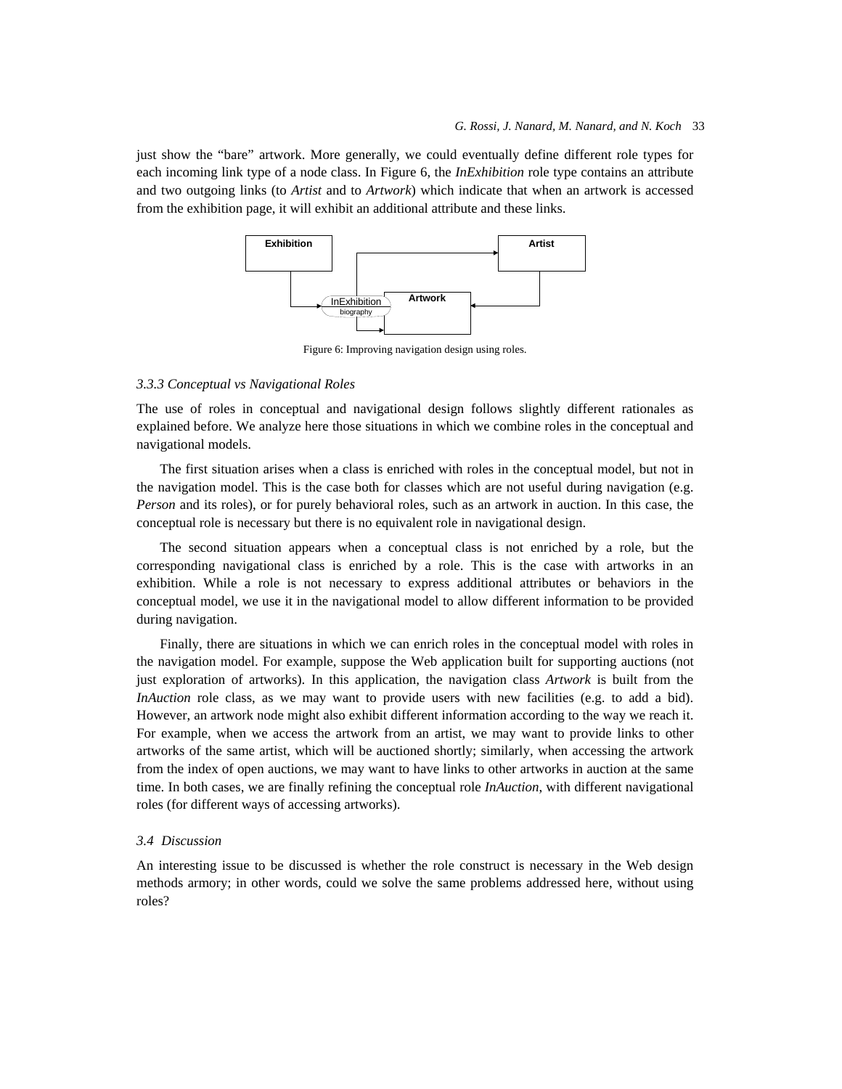just show the "bare" artwork. More generally, we could eventually define different role types for each incoming link type of a node class. In Figure 6, the *InExhibition* role type contains an attribute and two outgoing links (to *Artist* and to *Artwork*) which indicate that when an artwork is accessed from the exhibition page, it will exhibit an additional attribute and these links.



Figure 6: Improving navigation design using roles.

# *3.3.3 Conceptual vs Navigational Roles*

The use of roles in conceptual and navigational design follows slightly different rationales as explained before. We analyze here those situations in which we combine roles in the conceptual and navigational models.

The first situation arises when a class is enriched with roles in the conceptual model, but not in the navigation model. This is the case both for classes which are not useful during navigation (e.g. *Person* and its roles), or for purely behavioral roles, such as an artwork in auction. In this case, the conceptual role is necessary but there is no equivalent role in navigational design.

The second situation appears when a conceptual class is not enriched by a role, but the corresponding navigational class is enriched by a role. This is the case with artworks in an exhibition. While a role is not necessary to express additional attributes or behaviors in the conceptual model, we use it in the navigational model to allow different information to be provided during navigation.

Finally, there are situations in which we can enrich roles in the conceptual model with roles in the navigation model. For example, suppose the Web application built for supporting auctions (not just exploration of artworks). In this application, the navigation class *Artwork* is built from the *InAuction* role class, as we may want to provide users with new facilities (e.g. to add a bid). However, an artwork node might also exhibit different information according to the way we reach it. For example, when we access the artwork from an artist, we may want to provide links to other artworks of the same artist, which will be auctioned shortly; similarly, when accessing the artwork from the index of open auctions, we may want to have links to other artworks in auction at the same time. In both cases, we are finally refining the conceptual role *InAuction*, with different navigational roles (for different ways of accessing artworks).

## *3.4 Discussion*

An interesting issue to be discussed is whether the role construct is necessary in the Web design methods armory; in other words, could we solve the same problems addressed here, without using roles?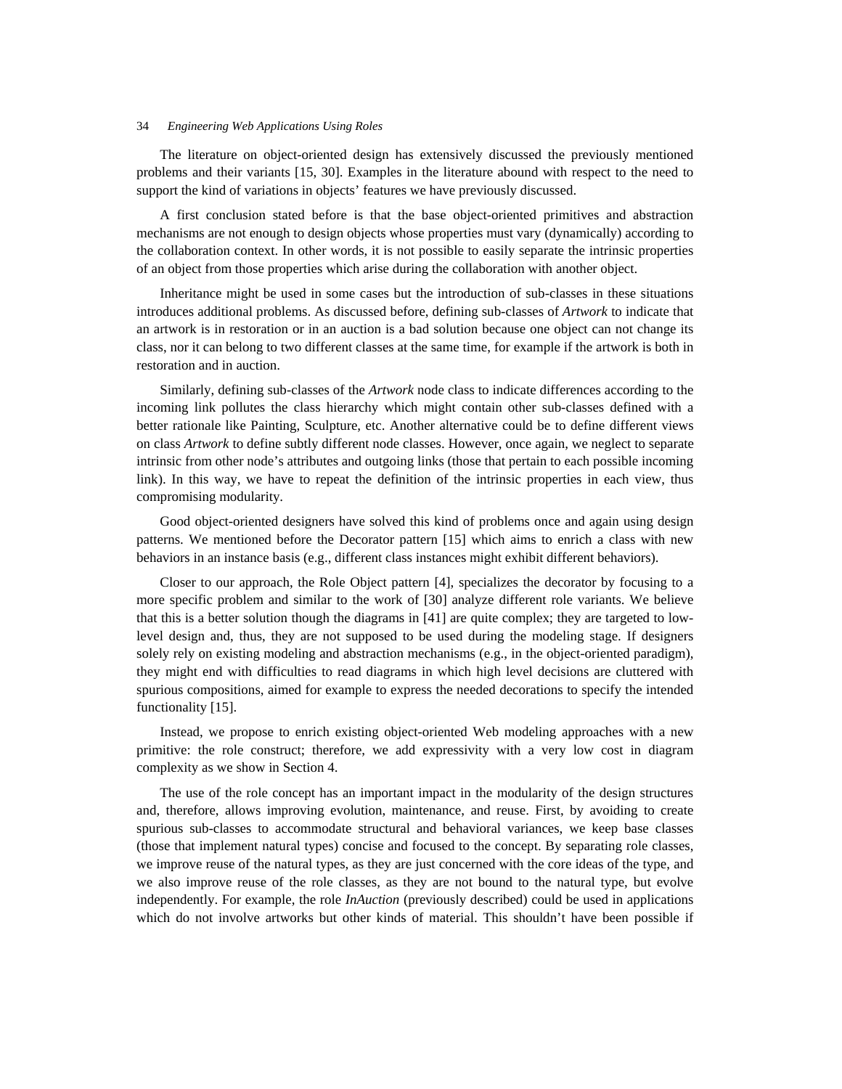The literature on object-oriented design has extensively discussed the previously mentioned problems and their variants [15, 30]. Examples in the literature abound with respect to the need to support the kind of variations in objects' features we have previously discussed.

A first conclusion stated before is that the base object-oriented primitives and abstraction mechanisms are not enough to design objects whose properties must vary (dynamically) according to the collaboration context. In other words, it is not possible to easily separate the intrinsic properties of an object from those properties which arise during the collaboration with another object.

Inheritance might be used in some cases but the introduction of sub-classes in these situations introduces additional problems. As discussed before, defining sub-classes of *Artwork* to indicate that an artwork is in restoration or in an auction is a bad solution because one object can not change its class, nor it can belong to two different classes at the same time, for example if the artwork is both in restoration and in auction.

Similarly, defining sub-classes of the *Artwork* node class to indicate differences according to the incoming link pollutes the class hierarchy which might contain other sub-classes defined with a better rationale like Painting, Sculpture, etc. Another alternative could be to define different views on class *Artwork* to define subtly different node classes. However, once again, we neglect to separate intrinsic from other node's attributes and outgoing links (those that pertain to each possible incoming link). In this way, we have to repeat the definition of the intrinsic properties in each view, thus compromising modularity.

Good object-oriented designers have solved this kind of problems once and again using design patterns. We mentioned before the Decorator pattern [15] which aims to enrich a class with new behaviors in an instance basis (e.g., different class instances might exhibit different behaviors).

Closer to our approach, the Role Object pattern [4], specializes the decorator by focusing to a more specific problem and similar to the work of [30] analyze different role variants. We believe that this is a better solution though the diagrams in [41] are quite complex; they are targeted to lowlevel design and, thus, they are not supposed to be used during the modeling stage. If designers solely rely on existing modeling and abstraction mechanisms (e.g., in the object-oriented paradigm), they might end with difficulties to read diagrams in which high level decisions are cluttered with spurious compositions, aimed for example to express the needed decorations to specify the intended functionality [15].

Instead, we propose to enrich existing object-oriented Web modeling approaches with a new primitive: the role construct; therefore, we add expressivity with a very low cost in diagram complexity as we show in Section 4.

The use of the role concept has an important impact in the modularity of the design structures and, therefore, allows improving evolution, maintenance, and reuse. First, by avoiding to create spurious sub-classes to accommodate structural and behavioral variances, we keep base classes (those that implement natural types) concise and focused to the concept. By separating role classes, we improve reuse of the natural types, as they are just concerned with the core ideas of the type, and we also improve reuse of the role classes, as they are not bound to the natural type, but evolve independently. For example, the role *InAuction* (previously described) could be used in applications which do not involve artworks but other kinds of material. This shouldn't have been possible if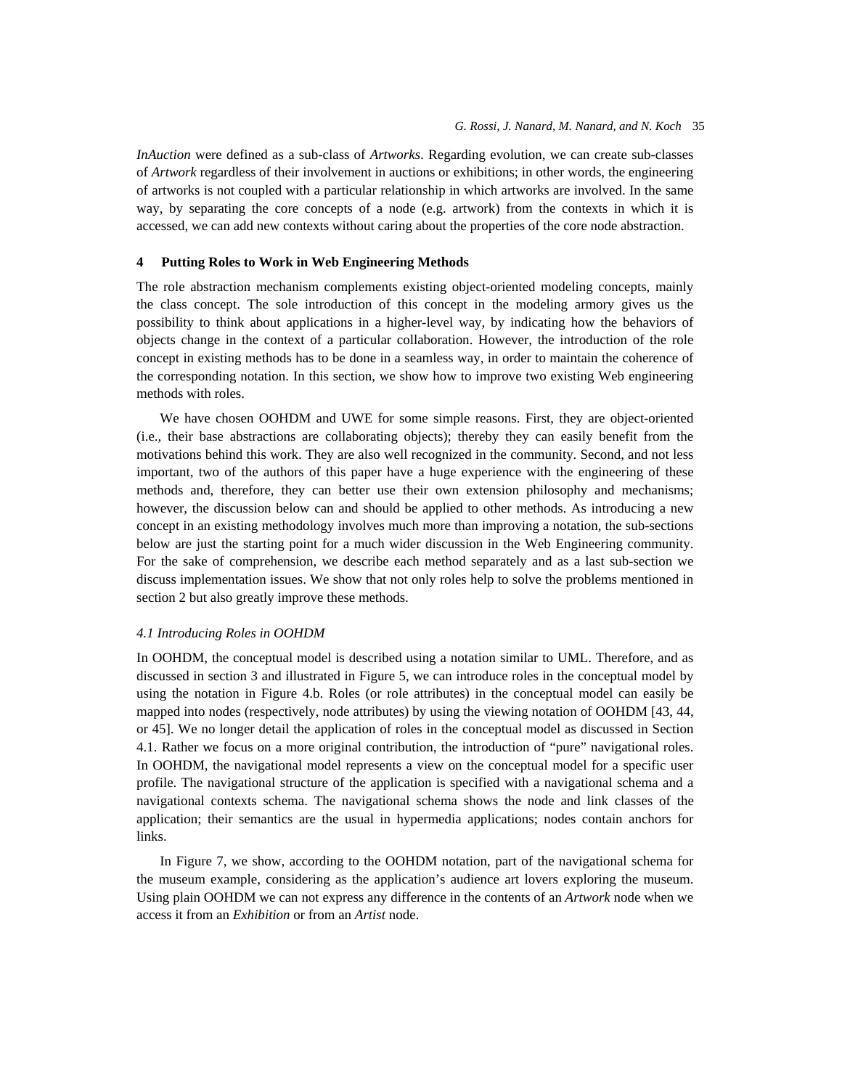*InAuction* were defined as a sub-class of *Artworks*. Regarding evolution, we can create sub-classes of *Artwork* regardless of their involvement in auctions or exhibitions; in other words, the engineering of artworks is not coupled with a particular relationship in which artworks are involved. In the same way, by separating the core concepts of a node (e.g. artwork) from the contexts in which it is accessed, we can add new contexts without caring about the properties of the core node abstraction.

### **4 Putting Roles to Work in Web Engineering Methods**

The role abstraction mechanism complements existing object-oriented modeling concepts, mainly the class concept. The sole introduction of this concept in the modeling armory gives us the possibility to think about applications in a higher-level way, by indicating how the behaviors of objects change in the context of a particular collaboration. However, the introduction of the role concept in existing methods has to be done in a seamless way, in order to maintain the coherence of the corresponding notation. In this section, we show how to improve two existing Web engineering methods with roles.

We have chosen OOHDM and UWE for some simple reasons. First, they are object-oriented (i.e., their base abstractions are collaborating objects); thereby they can easily benefit from the motivations behind this work. They are also well recognized in the community. Second, and not less important, two of the authors of this paper have a huge experience with the engineering of these methods and, therefore, they can better use their own extension philosophy and mechanisms; however, the discussion below can and should be applied to other methods. As introducing a new concept in an existing methodology involves much more than improving a notation, the sub-sections below are just the starting point for a much wider discussion in the Web Engineering community. For the sake of comprehension, we describe each method separately and as a last sub-section we discuss implementation issues. We show that not only roles help to solve the problems mentioned in section 2 but also greatly improve these methods.

# *4.1 Introducing Roles in OOHDM*

In OOHDM, the conceptual model is described using a notation similar to UML. Therefore, and as discussed in section 3 and illustrated in Figure 5, we can introduce roles in the conceptual model by using the notation in Figure 4.b. Roles (or role attributes) in the conceptual model can easily be mapped into nodes (respectively, node attributes) by using the viewing notation of OOHDM [43, 44, or 45]. We no longer detail the application of roles in the conceptual model as discussed in Section 4.1. Rather we focus on a more original contribution, the introduction of "pure" navigational roles. In OOHDM, the navigational model represents a view on the conceptual model for a specific user profile. The navigational structure of the application is specified with a navigational schema and a navigational contexts schema. The navigational schema shows the node and link classes of the application; their semantics are the usual in hypermedia applications; nodes contain anchors for links.

In Figure 7, we show, according to the OOHDM notation, part of the navigational schema for the museum example, considering as the application's audience art lovers exploring the museum. Using plain OOHDM we can not express any difference in the contents of an *Artwork* node when we access it from an *Exhibition* or from an *Artist* node.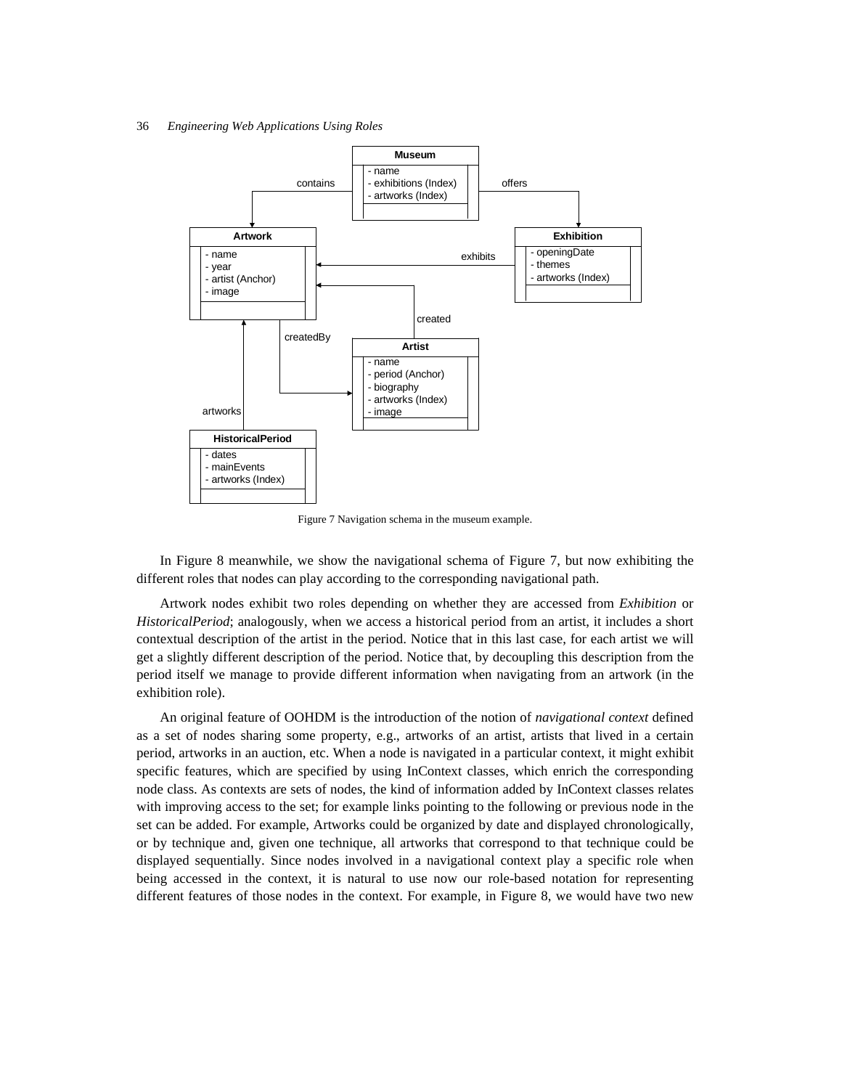

Figure 7 Navigation schema in the museum example.

In Figure 8 meanwhile, we show the navigational schema of Figure 7, but now exhibiting the different roles that nodes can play according to the corresponding navigational path.

Artwork nodes exhibit two roles depending on whether they are accessed from *Exhibition* or *HistoricalPeriod*; analogously, when we access a historical period from an artist, it includes a short contextual description of the artist in the period. Notice that in this last case, for each artist we will get a slightly different description of the period. Notice that, by decoupling this description from the period itself we manage to provide different information when navigating from an artwork (in the exhibition role).

An original feature of OOHDM is the introduction of the notion of *navigational context* defined as a set of nodes sharing some property, e.g., artworks of an artist, artists that lived in a certain period, artworks in an auction, etc. When a node is navigated in a particular context, it might exhibit specific features, which are specified by using InContext classes, which enrich the corresponding node class. As contexts are sets of nodes, the kind of information added by InContext classes relates with improving access to the set; for example links pointing to the following or previous node in the set can be added. For example, Artworks could be organized by date and displayed chronologically, or by technique and, given one technique, all artworks that correspond to that technique could be displayed sequentially. Since nodes involved in a navigational context play a specific role when being accessed in the context, it is natural to use now our role-based notation for representing different features of those nodes in the context. For example, in Figure 8, we would have two new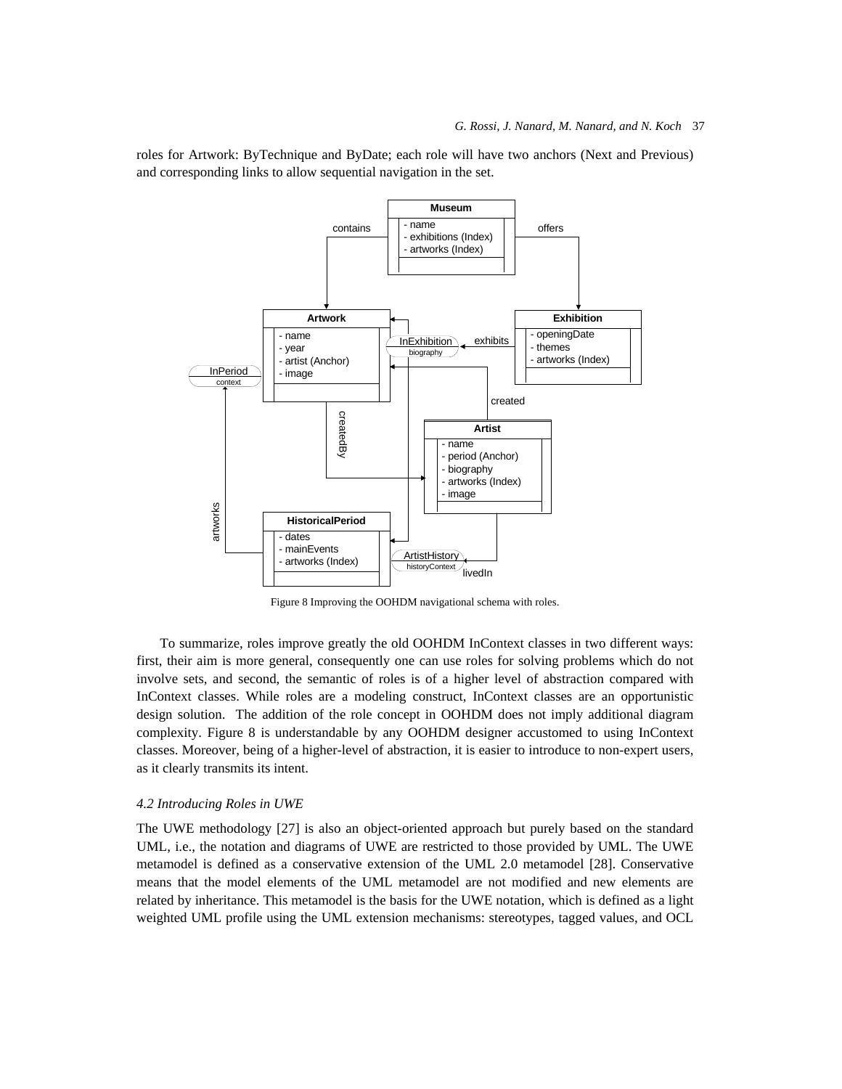roles for Artwork: ByTechnique and ByDate; each role will have two anchors (Next and Previous) and corresponding links to allow sequential navigation in the set.



Figure 8 Improving the OOHDM navigational schema with roles.

To summarize, roles improve greatly the old OOHDM InContext classes in two different ways: first, their aim is more general, consequently one can use roles for solving problems which do not involve sets, and second, the semantic of roles is of a higher level of abstraction compared with InContext classes. While roles are a modeling construct, InContext classes are an opportunistic design solution. The addition of the role concept in OOHDM does not imply additional diagram complexity. Figure 8 is understandable by any OOHDM designer accustomed to using InContext classes. Moreover, being of a higher-level of abstraction, it is easier to introduce to non-expert users, as it clearly transmits its intent.

#### *4.2 Introducing Roles in UWE*

The UWE methodology [27] is also an object-oriented approach but purely based on the standard UML, i.e., the notation and diagrams of UWE are restricted to those provided by UML. The UWE metamodel is defined as a conservative extension of the UML 2.0 metamodel [28]. Conservative means that the model elements of the UML metamodel are not modified and new elements are related by inheritance. This metamodel is the basis for the UWE notation, which is defined as a light weighted UML profile using the UML extension mechanisms: stereotypes, tagged values, and OCL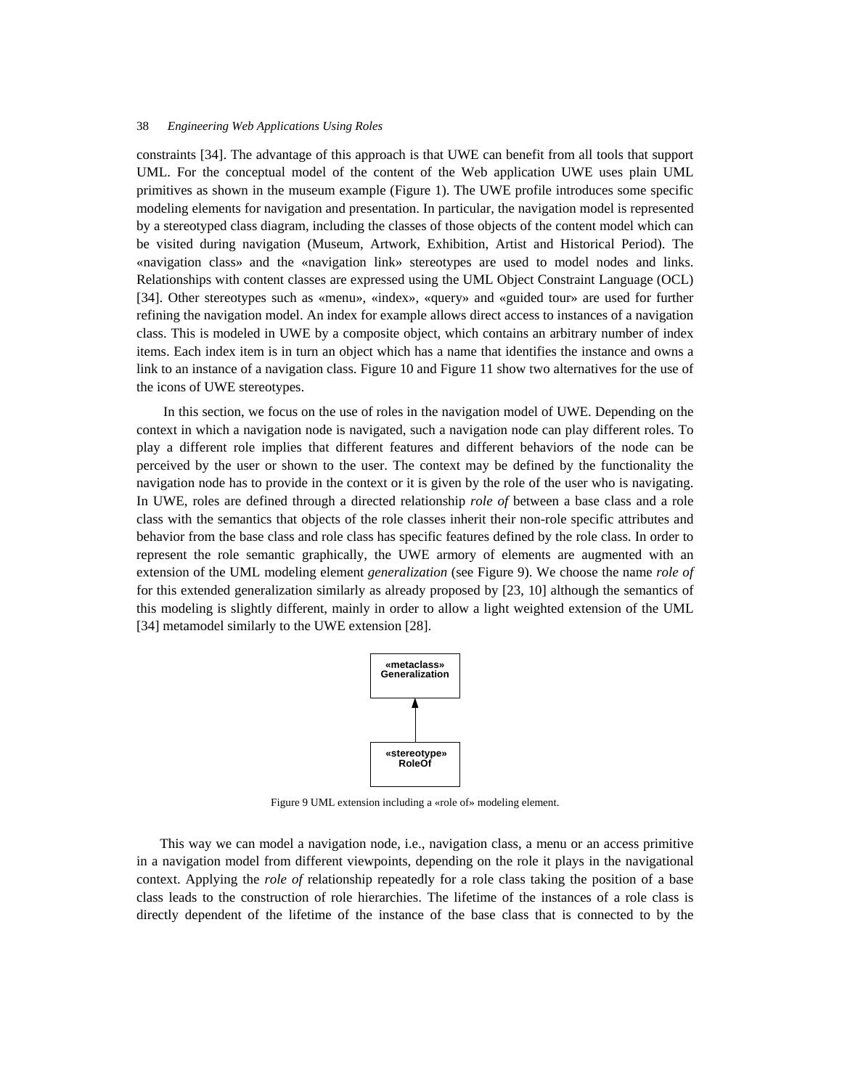constraints [34]. The advantage of this approach is that UWE can benefit from all tools that support UML. For the conceptual model of the content of the Web application UWE uses plain UML primitives as shown in the museum example (Figure 1). The UWE profile introduces some specific modeling elements for navigation and presentation. In particular, the navigation model is represented by a stereotyped class diagram, including the classes of those objects of the content model which can be visited during navigation (Museum, Artwork, Exhibition, Artist and Historical Period). The «navigation class» and the «navigation link» stereotypes are used to model nodes and links. Relationships with content classes are expressed using the UML Object Constraint Language (OCL) [34]. Other stereotypes such as «menu», «index», «query» and «guided tour» are used for further refining the navigation model. An index for example allows direct access to instances of a navigation class. This is modeled in UWE by a composite object, which contains an arbitrary number of index items. Each index item is in turn an object which has a name that identifies the instance and owns a link to an instance of a navigation class. Figure 10 and Figure 11 show two alternatives for the use of the icons of UWE stereotypes.

 In this section, we focus on the use of roles in the navigation model of UWE. Depending on the context in which a navigation node is navigated, such a navigation node can play different roles. To play a different role implies that different features and different behaviors of the node can be perceived by the user or shown to the user. The context may be defined by the functionality the navigation node has to provide in the context or it is given by the role of the user who is navigating. In UWE, roles are defined through a directed relationship *role of* between a base class and a role class with the semantics that objects of the role classes inherit their non-role specific attributes and behavior from the base class and role class has specific features defined by the role class. In order to represent the role semantic graphically, the UWE armory of elements are augmented with an extension of the UML modeling element *generalization* (see Figure 9). We choose the name *role of* for this extended generalization similarly as already proposed by [23, 10] although the semantics of this modeling is slightly different, mainly in order to allow a light weighted extension of the UML [34] metamodel similarly to the UWE extension [28].



Figure 9 UML extension including a «role of» modeling element.

This way we can model a navigation node, i.e., navigation class, a menu or an access primitive in a navigation model from different viewpoints, depending on the role it plays in the navigational context. Applying the *role of* relationship repeatedly for a role class taking the position of a base class leads to the construction of role hierarchies. The lifetime of the instances of a role class is directly dependent of the lifetime of the instance of the base class that is connected to by the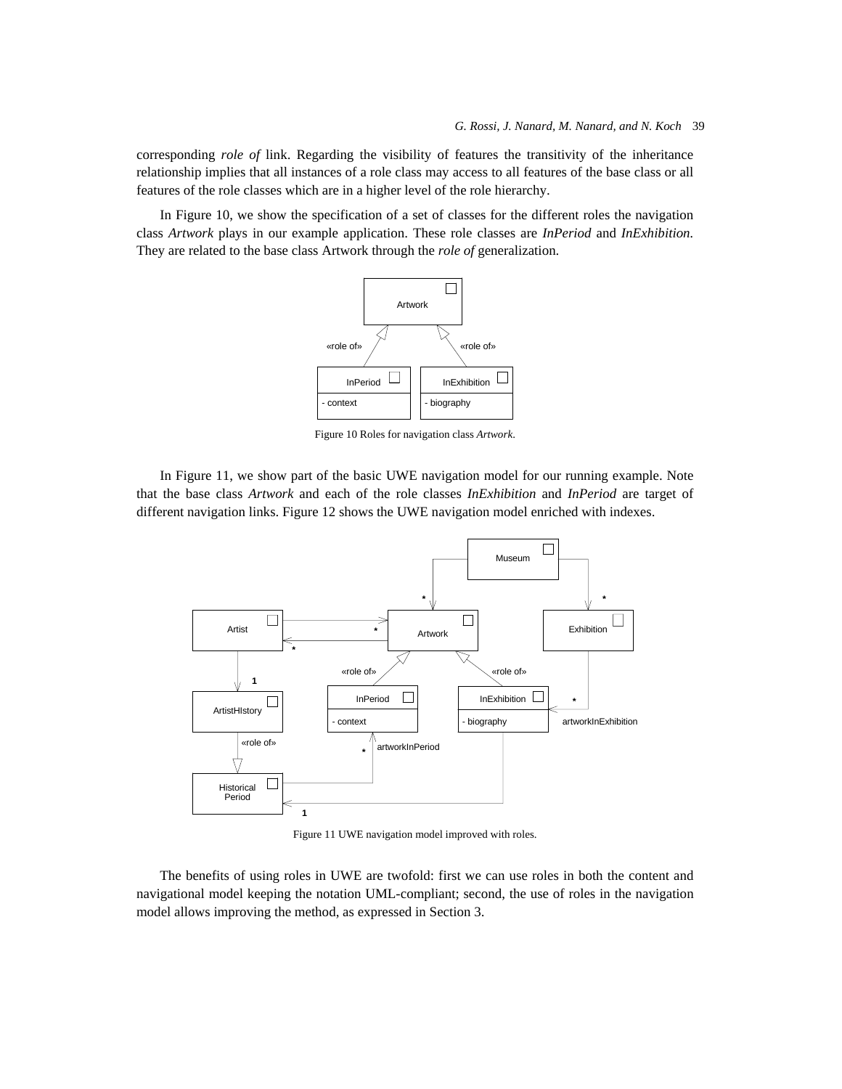corresponding *role of* link. Regarding the visibility of features the transitivity of the inheritance relationship implies that all instances of a role class may access to all features of the base class or all features of the role classes which are in a higher level of the role hierarchy.

In Figure 10, we show the specification of a set of classes for the different roles the navigation class *Artwork* plays in our example application. These role classes are *InPeriod* and *InExhibition.*  They are related to the base class Artwork through the *role of* generalization.



Figure 10 Roles for navigation class *Artwork*.

In Figure 11, we show part of the basic UWE navigation model for our running example. Note that the base class *Artwork* and each of the role classes *InExhibition* and *InPeriod* are target of different navigation links. Figure 12 shows the UWE navigation model enriched with indexes.



Figure 11 UWE navigation model improved with roles.

The benefits of using roles in UWE are twofold: first we can use roles in both the content and navigational model keeping the notation UML-compliant; second, the use of roles in the navigation model allows improving the method, as expressed in Section 3.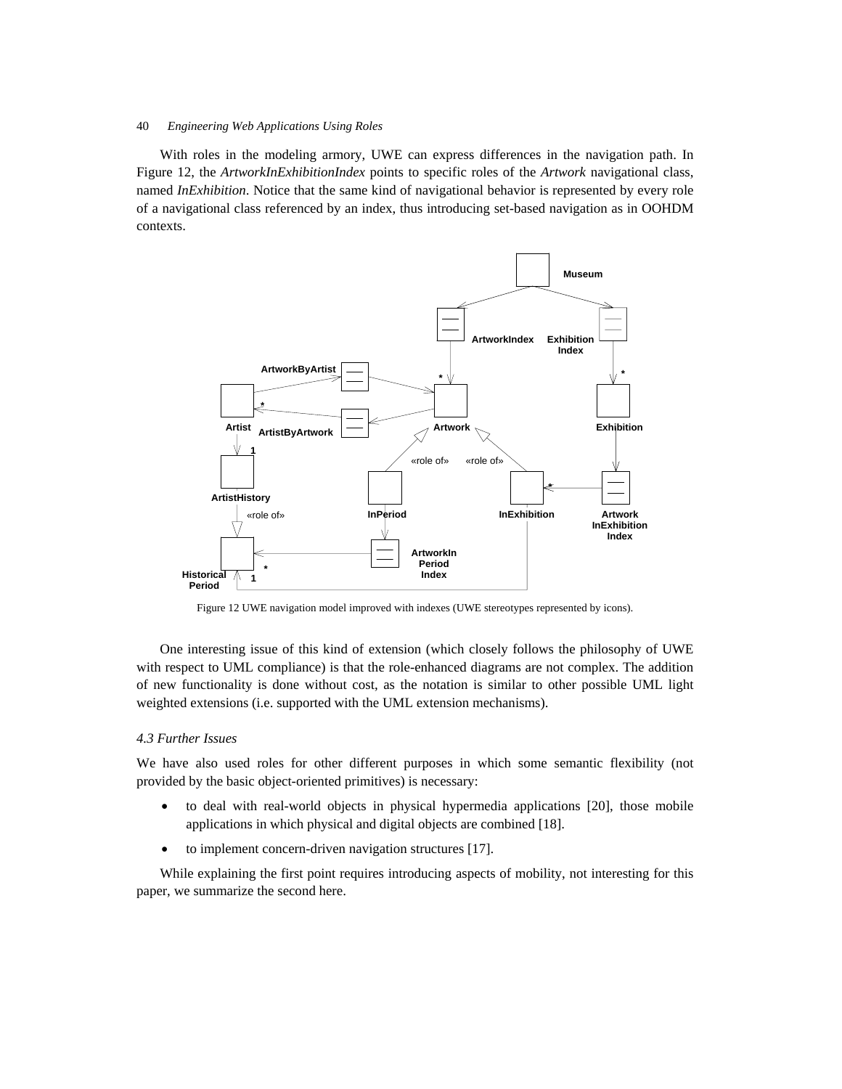With roles in the modeling armory, UWE can express differences in the navigation path. In Figure 12, the *ArtworkInExhibitionIndex* points to specific roles of the *Artwork* navigational class, named *InExhibition*. Notice that the same kind of navigational behavior is represented by every role of a navigational class referenced by an index, thus introducing set-based navigation as in OOHDM contexts.



Figure 12 UWE navigation model improved with indexes (UWE stereotypes represented by icons).

One interesting issue of this kind of extension (which closely follows the philosophy of UWE with respect to UML compliance) is that the role-enhanced diagrams are not complex. The addition of new functionality is done without cost, as the notation is similar to other possible UML light weighted extensions (i.e. supported with the UML extension mechanisms).

# *4.3 Further Issues*

We have also used roles for other different purposes in which some semantic flexibility (not provided by the basic object-oriented primitives) is necessary:

- to deal with real-world objects in physical hypermedia applications [20], those mobile applications in which physical and digital objects are combined [18].
- to implement concern-driven navigation structures [17].

While explaining the first point requires introducing aspects of mobility, not interesting for this paper, we summarize the second here.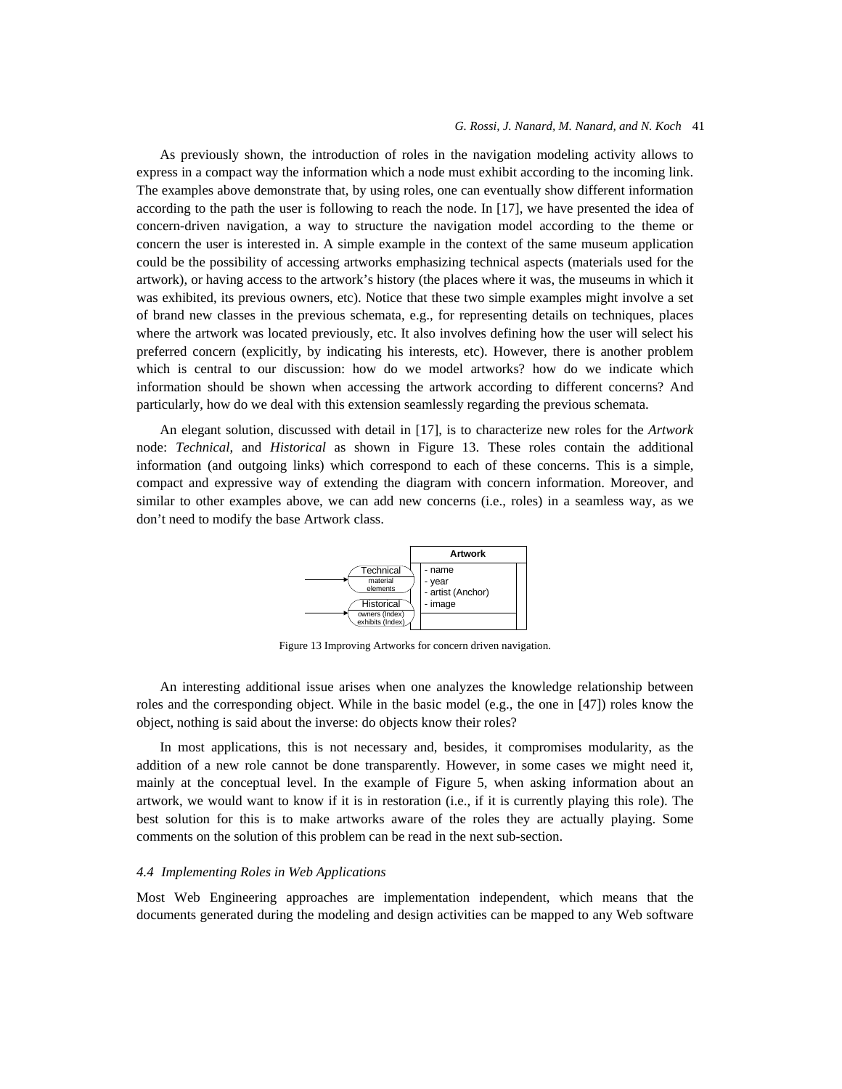#### *G. Rossi, J. Nanard, M. Nanard, and N. Koch* 41

As previously shown, the introduction of roles in the navigation modeling activity allows to express in a compact way the information which a node must exhibit according to the incoming link. The examples above demonstrate that, by using roles, one can eventually show different information according to the path the user is following to reach the node. In [17], we have presented the idea of concern-driven navigation, a way to structure the navigation model according to the theme or concern the user is interested in. A simple example in the context of the same museum application could be the possibility of accessing artworks emphasizing technical aspects (materials used for the artwork), or having access to the artwork's history (the places where it was, the museums in which it was exhibited, its previous owners, etc). Notice that these two simple examples might involve a set of brand new classes in the previous schemata, e.g., for representing details on techniques, places where the artwork was located previously, etc. It also involves defining how the user will select his preferred concern (explicitly, by indicating his interests, etc). However, there is another problem which is central to our discussion: how do we model artworks? how do we indicate which information should be shown when accessing the artwork according to different concerns? And particularly, how do we deal with this extension seamlessly regarding the previous schemata.

An elegant solution, discussed with detail in [17], is to characterize new roles for the *Artwork* node: *Technical*, and *Historical* as shown in Figure 13. These roles contain the additional information (and outgoing links) which correspond to each of these concerns. This is a simple, compact and expressive way of extending the diagram with concern information. Moreover, and similar to other examples above, we can add new concerns (i.e., roles) in a seamless way, as we don't need to modify the base Artwork class.



Figure 13 Improving Artworks for concern driven navigation.

An interesting additional issue arises when one analyzes the knowledge relationship between roles and the corresponding object. While in the basic model (e.g., the one in [47]) roles know the object, nothing is said about the inverse: do objects know their roles?

In most applications, this is not necessary and, besides, it compromises modularity, as the addition of a new role cannot be done transparently. However, in some cases we might need it, mainly at the conceptual level. In the example of Figure 5, when asking information about an artwork, we would want to know if it is in restoration (i.e., if it is currently playing this role). The best solution for this is to make artworks aware of the roles they are actually playing. Some comments on the solution of this problem can be read in the next sub-section.

# *4.4 Implementing Roles in Web Applications*

Most Web Engineering approaches are implementation independent, which means that the documents generated during the modeling and design activities can be mapped to any Web software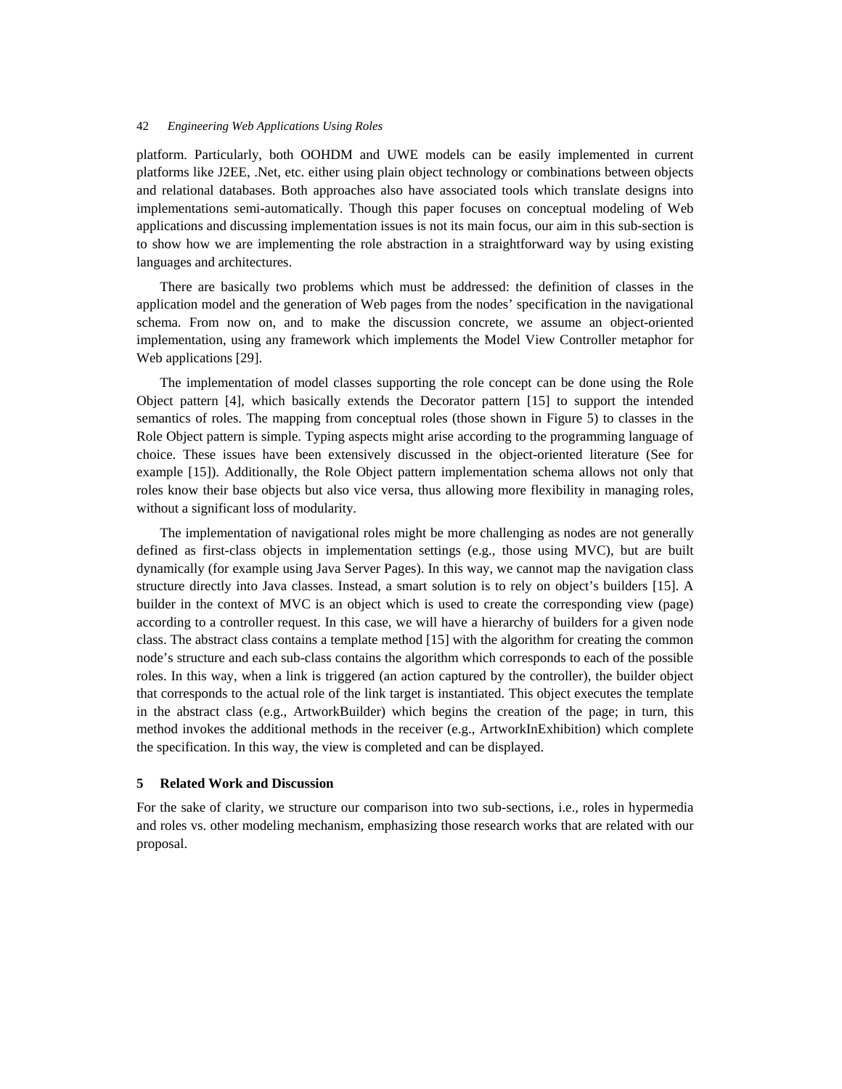platform. Particularly, both OOHDM and UWE models can be easily implemented in current platforms like J2EE, .Net, etc. either using plain object technology or combinations between objects and relational databases. Both approaches also have associated tools which translate designs into implementations semi-automatically. Though this paper focuses on conceptual modeling of Web applications and discussing implementation issues is not its main focus, our aim in this sub-section is to show how we are implementing the role abstraction in a straightforward way by using existing languages and architectures.

There are basically two problems which must be addressed: the definition of classes in the application model and the generation of Web pages from the nodes' specification in the navigational schema. From now on, and to make the discussion concrete, we assume an object-oriented implementation, using any framework which implements the Model View Controller metaphor for Web applications [29].

The implementation of model classes supporting the role concept can be done using the Role Object pattern [4], which basically extends the Decorator pattern [15] to support the intended semantics of roles. The mapping from conceptual roles (those shown in Figure 5) to classes in the Role Object pattern is simple. Typing aspects might arise according to the programming language of choice. These issues have been extensively discussed in the object-oriented literature (See for example [15]). Additionally, the Role Object pattern implementation schema allows not only that roles know their base objects but also vice versa, thus allowing more flexibility in managing roles, without a significant loss of modularity.

The implementation of navigational roles might be more challenging as nodes are not generally defined as first-class objects in implementation settings (e.g., those using MVC), but are built dynamically (for example using Java Server Pages). In this way, we cannot map the navigation class structure directly into Java classes. Instead, a smart solution is to rely on object's builders [15]. A builder in the context of MVC is an object which is used to create the corresponding view (page) according to a controller request. In this case, we will have a hierarchy of builders for a given node class. The abstract class contains a template method [15] with the algorithm for creating the common node's structure and each sub-class contains the algorithm which corresponds to each of the possible roles. In this way, when a link is triggered (an action captured by the controller), the builder object that corresponds to the actual role of the link target is instantiated. This object executes the template in the abstract class (e.g., ArtworkBuilder) which begins the creation of the page; in turn, this method invokes the additional methods in the receiver (e.g., ArtworkInExhibition) which complete the specification. In this way, the view is completed and can be displayed.

#### **5 Related Work and Discussion**

For the sake of clarity, we structure our comparison into two sub-sections, i.e., roles in hypermedia and roles vs. other modeling mechanism, emphasizing those research works that are related with our proposal.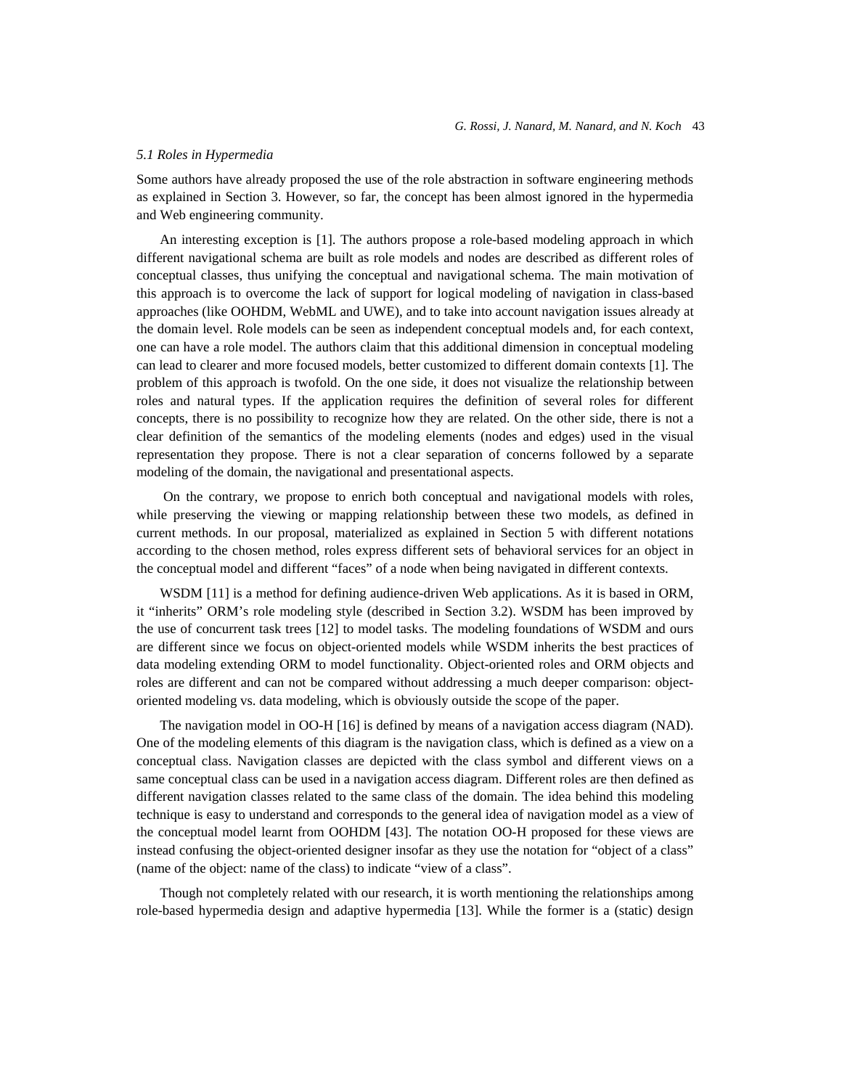#### *5.1 Roles in Hypermedia*

Some authors have already proposed the use of the role abstraction in software engineering methods as explained in Section 3. However, so far, the concept has been almost ignored in the hypermedia and Web engineering community.

An interesting exception is [1]. The authors propose a role-based modeling approach in which different navigational schema are built as role models and nodes are described as different roles of conceptual classes, thus unifying the conceptual and navigational schema. The main motivation of this approach is to overcome the lack of support for logical modeling of navigation in class-based approaches (like OOHDM, WebML and UWE), and to take into account navigation issues already at the domain level. Role models can be seen as independent conceptual models and, for each context, one can have a role model. The authors claim that this additional dimension in conceptual modeling can lead to clearer and more focused models, better customized to different domain contexts [1]. The problem of this approach is twofold. On the one side, it does not visualize the relationship between roles and natural types. If the application requires the definition of several roles for different concepts, there is no possibility to recognize how they are related. On the other side, there is not a clear definition of the semantics of the modeling elements (nodes and edges) used in the visual representation they propose. There is not a clear separation of concerns followed by a separate modeling of the domain, the navigational and presentational aspects.

 On the contrary, we propose to enrich both conceptual and navigational models with roles, while preserving the viewing or mapping relationship between these two models, as defined in current methods. In our proposal, materialized as explained in Section 5 with different notations according to the chosen method, roles express different sets of behavioral services for an object in the conceptual model and different "faces" of a node when being navigated in different contexts.

WSDM [11] is a method for defining audience-driven Web applications. As it is based in ORM, it "inherits" ORM's role modeling style (described in Section 3.2). WSDM has been improved by the use of concurrent task trees [12] to model tasks. The modeling foundations of WSDM and ours are different since we focus on object-oriented models while WSDM inherits the best practices of data modeling extending ORM to model functionality. Object-oriented roles and ORM objects and roles are different and can not be compared without addressing a much deeper comparison: objectoriented modeling vs. data modeling, which is obviously outside the scope of the paper.

The navigation model in OO-H [16] is defined by means of a navigation access diagram (NAD). One of the modeling elements of this diagram is the navigation class, which is defined as a view on a conceptual class. Navigation classes are depicted with the class symbol and different views on a same conceptual class can be used in a navigation access diagram. Different roles are then defined as different navigation classes related to the same class of the domain. The idea behind this modeling technique is easy to understand and corresponds to the general idea of navigation model as a view of the conceptual model learnt from OOHDM [43]. The notation OO-H proposed for these views are instead confusing the object-oriented designer insofar as they use the notation for "object of a class" (name of the object: name of the class) to indicate "view of a class".

Though not completely related with our research, it is worth mentioning the relationships among role-based hypermedia design and adaptive hypermedia [13]. While the former is a (static) design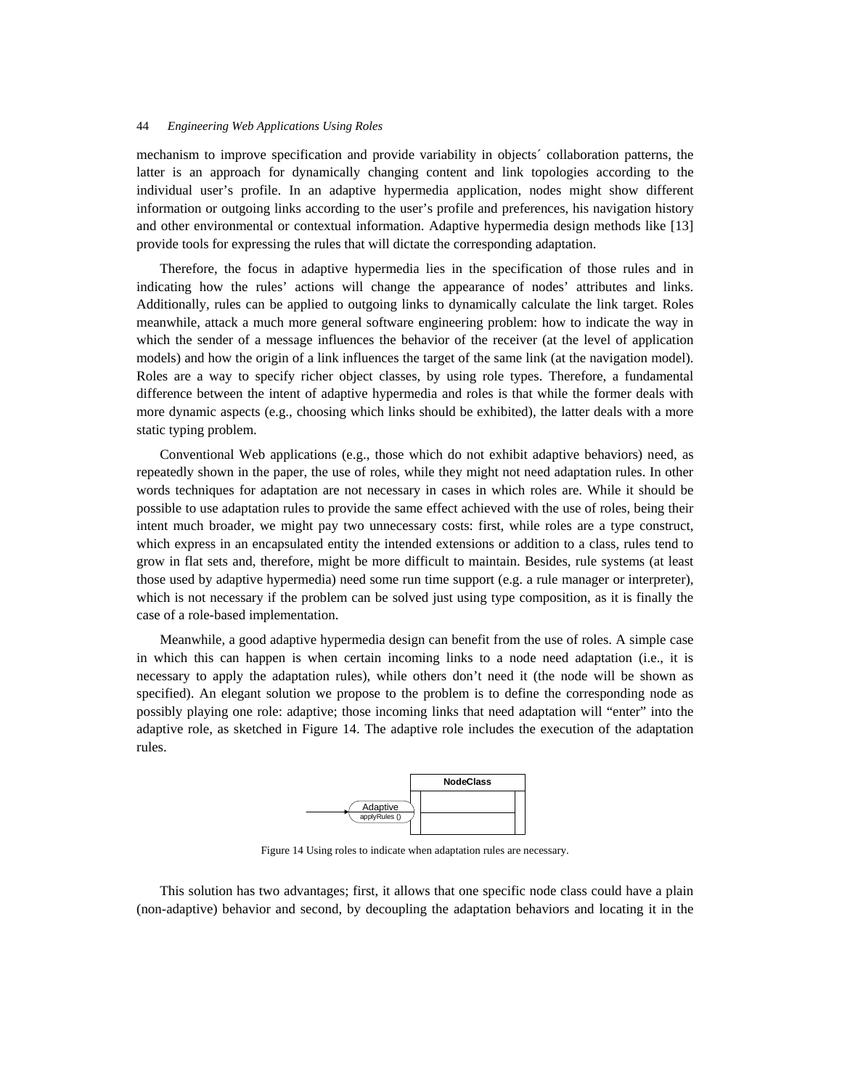mechanism to improve specification and provide variability in objects´ collaboration patterns, the latter is an approach for dynamically changing content and link topologies according to the individual user's profile. In an adaptive hypermedia application, nodes might show different information or outgoing links according to the user's profile and preferences, his navigation history and other environmental or contextual information. Adaptive hypermedia design methods like [13] provide tools for expressing the rules that will dictate the corresponding adaptation.

Therefore, the focus in adaptive hypermedia lies in the specification of those rules and in indicating how the rules' actions will change the appearance of nodes' attributes and links. Additionally, rules can be applied to outgoing links to dynamically calculate the link target. Roles meanwhile, attack a much more general software engineering problem: how to indicate the way in which the sender of a message influences the behavior of the receiver (at the level of application models) and how the origin of a link influences the target of the same link (at the navigation model). Roles are a way to specify richer object classes, by using role types. Therefore, a fundamental difference between the intent of adaptive hypermedia and roles is that while the former deals with more dynamic aspects (e.g., choosing which links should be exhibited), the latter deals with a more static typing problem.

Conventional Web applications (e.g., those which do not exhibit adaptive behaviors) need, as repeatedly shown in the paper, the use of roles, while they might not need adaptation rules. In other words techniques for adaptation are not necessary in cases in which roles are. While it should be possible to use adaptation rules to provide the same effect achieved with the use of roles, being their intent much broader, we might pay two unnecessary costs: first, while roles are a type construct, which express in an encapsulated entity the intended extensions or addition to a class, rules tend to grow in flat sets and, therefore, might be more difficult to maintain. Besides, rule systems (at least those used by adaptive hypermedia) need some run time support (e.g. a rule manager or interpreter), which is not necessary if the problem can be solved just using type composition, as it is finally the case of a role-based implementation.

Meanwhile, a good adaptive hypermedia design can benefit from the use of roles. A simple case in which this can happen is when certain incoming links to a node need adaptation (i.e., it is necessary to apply the adaptation rules), while others don't need it (the node will be shown as specified). An elegant solution we propose to the problem is to define the corresponding node as possibly playing one role: adaptive; those incoming links that need adaptation will "enter" into the adaptive role, as sketched in Figure 14. The adaptive role includes the execution of the adaptation rules.



Figure 14 Using roles to indicate when adaptation rules are necessary.

This solution has two advantages; first, it allows that one specific node class could have a plain (non-adaptive) behavior and second, by decoupling the adaptation behaviors and locating it in the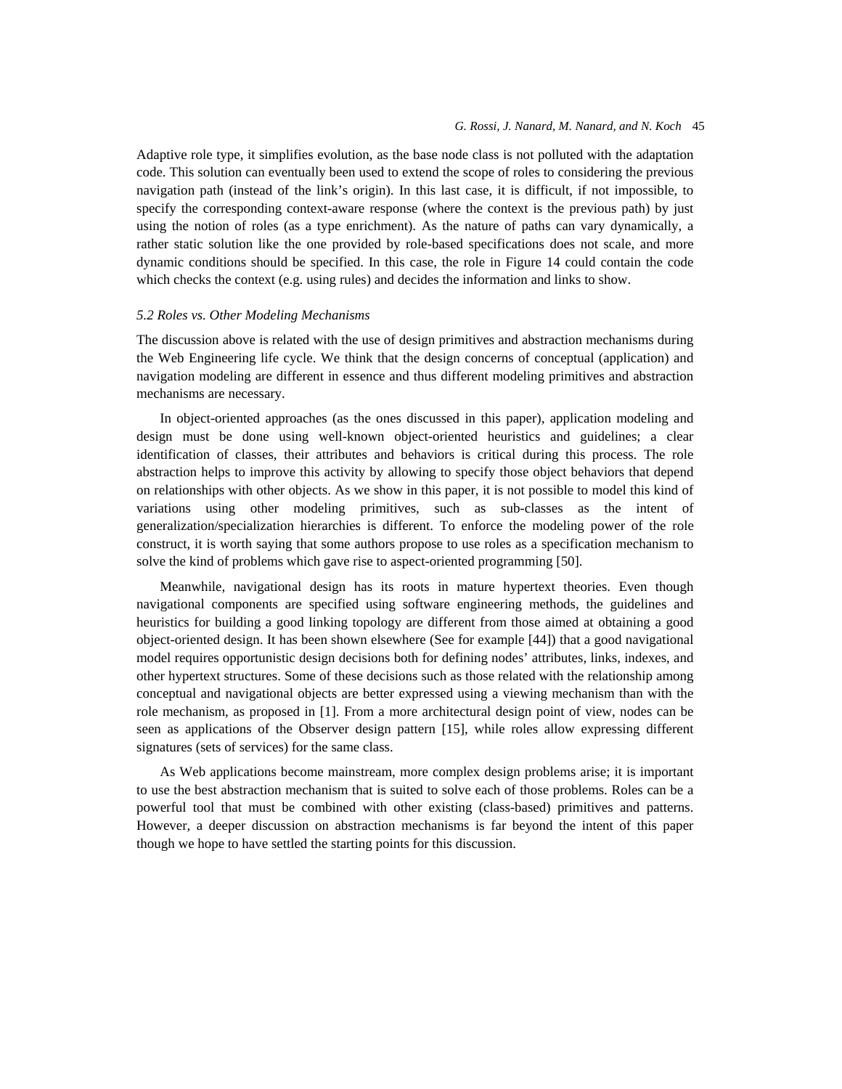### *G. Rossi, J. Nanard, M. Nanard, and N. Koch* 45

Adaptive role type, it simplifies evolution, as the base node class is not polluted with the adaptation code. This solution can eventually been used to extend the scope of roles to considering the previous navigation path (instead of the link's origin). In this last case, it is difficult, if not impossible, to specify the corresponding context-aware response (where the context is the previous path) by just using the notion of roles (as a type enrichment). As the nature of paths can vary dynamically, a rather static solution like the one provided by role-based specifications does not scale, and more dynamic conditions should be specified. In this case, the role in Figure 14 could contain the code which checks the context (e.g. using rules) and decides the information and links to show.

## *5.2 Roles vs. Other Modeling Mechanisms*

The discussion above is related with the use of design primitives and abstraction mechanisms during the Web Engineering life cycle. We think that the design concerns of conceptual (application) and navigation modeling are different in essence and thus different modeling primitives and abstraction mechanisms are necessary.

In object-oriented approaches (as the ones discussed in this paper), application modeling and design must be done using well-known object-oriented heuristics and guidelines; a clear identification of classes, their attributes and behaviors is critical during this process. The role abstraction helps to improve this activity by allowing to specify those object behaviors that depend on relationships with other objects. As we show in this paper, it is not possible to model this kind of variations using other modeling primitives, such as sub-classes as the intent of generalization/specialization hierarchies is different. To enforce the modeling power of the role construct, it is worth saying that some authors propose to use roles as a specification mechanism to solve the kind of problems which gave rise to aspect-oriented programming [50].

Meanwhile, navigational design has its roots in mature hypertext theories. Even though navigational components are specified using software engineering methods, the guidelines and heuristics for building a good linking topology are different from those aimed at obtaining a good object-oriented design. It has been shown elsewhere (See for example [44]) that a good navigational model requires opportunistic design decisions both for defining nodes' attributes, links, indexes, and other hypertext structures. Some of these decisions such as those related with the relationship among conceptual and navigational objects are better expressed using a viewing mechanism than with the role mechanism, as proposed in [1]. From a more architectural design point of view, nodes can be seen as applications of the Observer design pattern [15], while roles allow expressing different signatures (sets of services) for the same class.

As Web applications become mainstream, more complex design problems arise; it is important to use the best abstraction mechanism that is suited to solve each of those problems. Roles can be a powerful tool that must be combined with other existing (class-based) primitives and patterns. However, a deeper discussion on abstraction mechanisms is far beyond the intent of this paper though we hope to have settled the starting points for this discussion.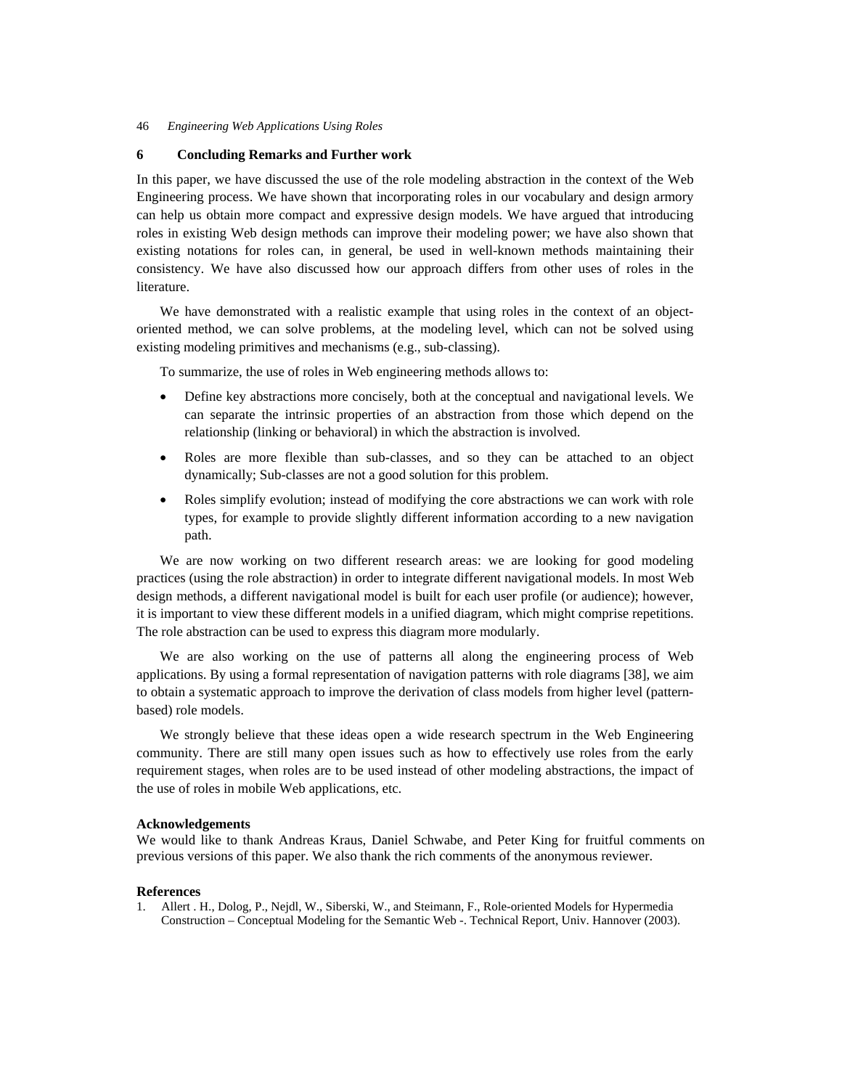# **6 Concluding Remarks and Further work**

In this paper, we have discussed the use of the role modeling abstraction in the context of the Web Engineering process. We have shown that incorporating roles in our vocabulary and design armory can help us obtain more compact and expressive design models. We have argued that introducing roles in existing Web design methods can improve their modeling power; we have also shown that existing notations for roles can, in general, be used in well-known methods maintaining their consistency. We have also discussed how our approach differs from other uses of roles in the literature.

We have demonstrated with a realistic example that using roles in the context of an objectoriented method, we can solve problems, at the modeling level, which can not be solved using existing modeling primitives and mechanisms (e.g., sub-classing).

To summarize, the use of roles in Web engineering methods allows to:

- Define key abstractions more concisely, both at the conceptual and navigational levels. We can separate the intrinsic properties of an abstraction from those which depend on the relationship (linking or behavioral) in which the abstraction is involved.
- Roles are more flexible than sub-classes, and so they can be attached to an object dynamically; Sub-classes are not a good solution for this problem.
- Roles simplify evolution; instead of modifying the core abstractions we can work with role types, for example to provide slightly different information according to a new navigation path.

We are now working on two different research areas: we are looking for good modeling practices (using the role abstraction) in order to integrate different navigational models. In most Web design methods, a different navigational model is built for each user profile (or audience); however, it is important to view these different models in a unified diagram, which might comprise repetitions. The role abstraction can be used to express this diagram more modularly.

We are also working on the use of patterns all along the engineering process of Web applications. By using a formal representation of navigation patterns with role diagrams [38], we aim to obtain a systematic approach to improve the derivation of class models from higher level (patternbased) role models.

We strongly believe that these ideas open a wide research spectrum in the Web Engineering community. There are still many open issues such as how to effectively use roles from the early requirement stages, when roles are to be used instead of other modeling abstractions, the impact of the use of roles in mobile Web applications, etc.

## **Acknowledgements**

We would like to thank Andreas Kraus, Daniel Schwabe, and Peter King for fruitful comments on previous versions of this paper. We also thank the rich comments of the anonymous reviewer.

#### **References**

1. Allert . H., Dolog, P., Nejdl, W., Siberski, W., and Steimann, F., Role-oriented Models for Hypermedia Construction – Conceptual Modeling for the Semantic Web -. Technical Report, Univ. Hannover (2003).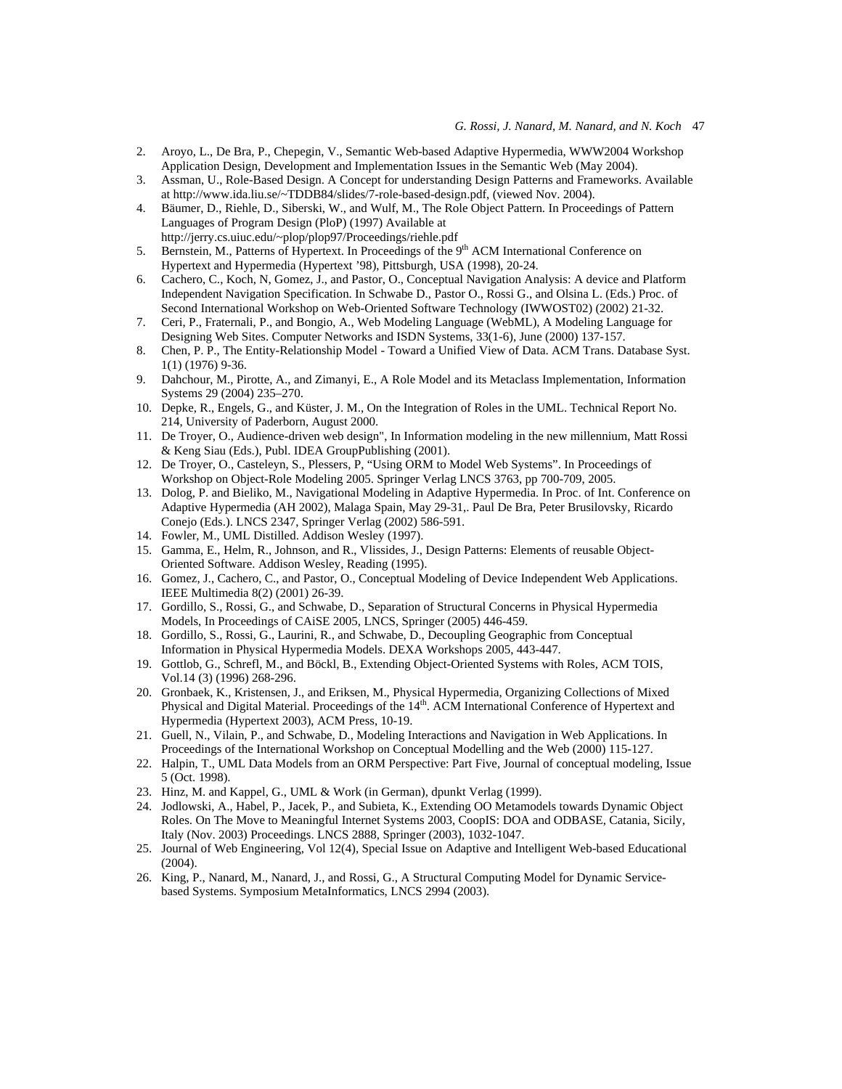- 2. Aroyo, L., De Bra, P., Chepegin, V., Semantic Web-based Adaptive Hypermedia, WWW2004 Workshop Application Design, Development and Implementation Issues in the Semantic Web (May 2004).
- 3. Assman, U., Role-Based Design. A Concept for understanding Design Patterns and Frameworks. Available at http://www.ida.liu.se/~TDDB84/slides/7-role-based-design.pdf, (viewed Nov. 2004).
- 4. Bäumer, D., Riehle, D., Siberski, W., and Wulf, M., The Role Object Pattern. In Proceedings of Pattern Languages of Program Design (PloP) (1997) Available at http://jerry.cs.uiuc.edu/~plop/plop97/Proceedings/riehle.pdf
- 5. Bernstein, M., Patterns of Hypertext. In Proceedings of the 9<sup>th</sup> ACM International Conference on Hypertext and Hypermedia (Hypertext '98), Pittsburgh, USA (1998), 20-24.
- 6. Cachero, C., Koch, N, Gomez, J., and Pastor, O., Conceptual Navigation Analysis: A device and Platform Independent Navigation Specification. In Schwabe D., Pastor O., Rossi G., and Olsina L. (Eds.) Proc. of Second International Workshop on Web-Oriented Software Technology (IWWOST02) (2002) 21-32.
- 7. Ceri, P., Fraternali, P., and Bongio, A., Web Modeling Language (WebML), A Modeling Language for Designing Web Sites. Computer Networks and ISDN Systems, 33(1-6), June (2000) 137-157.
- 8. Chen, P. P., The Entity-Relationship Model Toward a Unified View of Data. ACM Trans. Database Syst. 1(1) (1976) 9-36.
- 9. Dahchour, M., Pirotte, A., and Zimanyi, E., A Role Model and its Metaclass Implementation, Information Systems 29 (2004) 235–270.
- 10. Depke, R., Engels, G., and Küster, J. M., On the Integration of Roles in the UML. Technical Report No. 214, University of Paderborn, August 2000.
- 11. De Troyer, O., Audience-driven web design", In Information modeling in the new millennium, Matt Rossi & Keng Siau (Eds.), Publ. IDEA GroupPublishing (2001).
- 12. De Troyer, O., Casteleyn, S., Plessers, P, "Using ORM to Model Web Systems". In Proceedings of Workshop on Object-Role Modeling 2005. Springer Verlag LNCS 3763, pp 700-709, 2005.
- 13. Dolog, P. and Bieliko, M., Navigational Modeling in Adaptive Hypermedia. In Proc. of Int. Conference on Adaptive Hypermedia (AH 2002), Malaga Spain, May 29-31,. Paul De Bra, Peter Brusilovsky, Ricardo Conejo (Eds.). LNCS 2347, Springer Verlag (2002) 586-591.
- 14. Fowler, M., UML Distilled. Addison Wesley (1997).
- 15. Gamma, E., Helm, R., Johnson, and R., Vlissides, J., Design Patterns: Elements of reusable Object-Oriented Software. Addison Wesley, Reading (1995).
- 16. Gomez, J., Cachero, C., and Pastor, O., Conceptual Modeling of Device Independent Web Applications. IEEE Multimedia 8(2) (2001) 26-39.
- 17. Gordillo, S., Rossi, G., and Schwabe, D., Separation of Structural Concerns in Physical Hypermedia Models, In Proceedings of CAiSE 2005, LNCS, Springer (2005) 446-459.
- 18. Gordillo, S., Rossi, G., Laurini, R., and Schwabe, D., Decoupling Geographic from Conceptual Information in Physical Hypermedia Models. DEXA Workshops 2005, 443-447.
- 19. Gottlob, G., Schrefl, M., and Böckl, B., Extending Object-Oriented Systems with Roles, ACM TOIS, Vol.14 (3) (1996) 268-296.
- 20. Gronbaek, K., Kristensen, J., and Eriksen, M., Physical Hypermedia, Organizing Collections of Mixed Physical and Digital Material. Proceedings of the 14<sup>th</sup>. ACM International Conference of Hypertext and Hypermedia (Hypertext 2003), ACM Press, 10-19.
- 21. Guell, N., Vilain, P., and Schwabe, D., Modeling Interactions and Navigation in Web Applications. In Proceedings of the International Workshop on Conceptual Modelling and the Web (2000) 115-127.
- 22. Halpin, T., UML Data Models from an ORM Perspective: Part Five, Journal of conceptual modeling, Issue 5 (Oct. 1998).
- 23. Hinz, M. and Kappel, G., UML & Work (in German), dpunkt Verlag (1999).
- 24. Jodlowski, A., Habel, P., Jacek, P., and Subieta, K., Extending OO Metamodels towards Dynamic Object Roles. On The Move to Meaningful Internet Systems 2003, CoopIS: DOA and ODBASE, Catania, Sicily, Italy (Nov. 2003) Proceedings. LNCS 2888, Springer (2003), 1032-1047.
- 25. Journal of Web Engineering, Vol 12(4), Special Issue on Adaptive and Intelligent Web-based Educational (2004).
- 26. King, P., Nanard, M., Nanard, J., and Rossi, G., A Structural Computing Model for Dynamic Servicebased Systems. Symposium MetaInformatics, LNCS 2994 (2003).